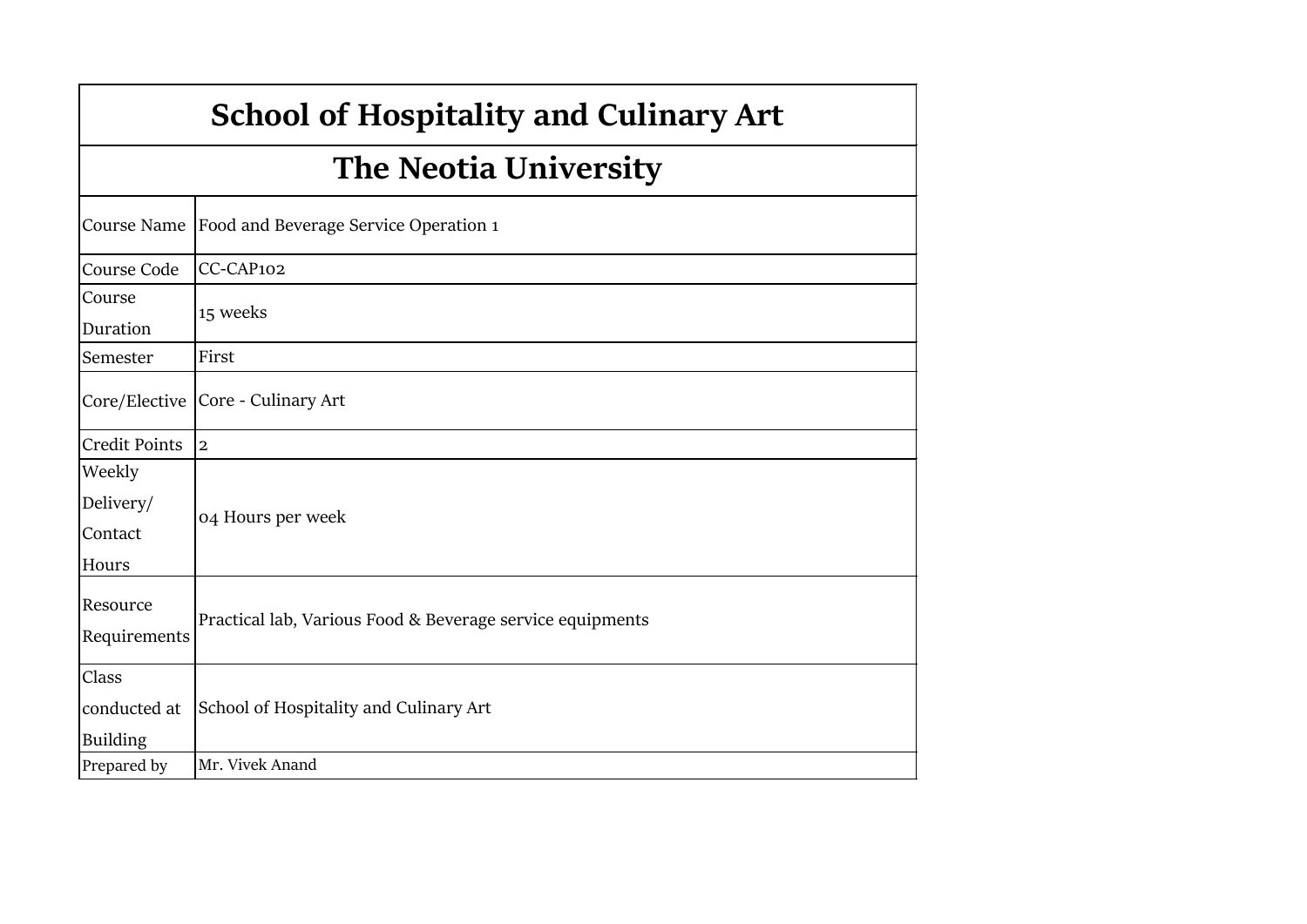# **School of Hospitality and Culinary Art**

# **The Neotia University**

|                                          | Course Name Food and Beverage Service Operation 1         |
|------------------------------------------|-----------------------------------------------------------|
| Course Code                              | CC-CAP102                                                 |
| Course<br>Duration                       | 15 weeks                                                  |
| Semester                                 | First                                                     |
|                                          | Core/Elective   Core - Culinary Art                       |
| <b>Credit Points</b>                     | $\overline{2}$                                            |
| Weekly<br>Delivery/<br>Contact<br>Hours  | 04 Hours per week                                         |
| Resource<br>Requirements                 | Practical lab, Various Food & Beverage service equipments |
| Class<br>conducted at<br><b>Building</b> | School of Hospitality and Culinary Art                    |
| Prepared by                              | Mr. Vivek Anand                                           |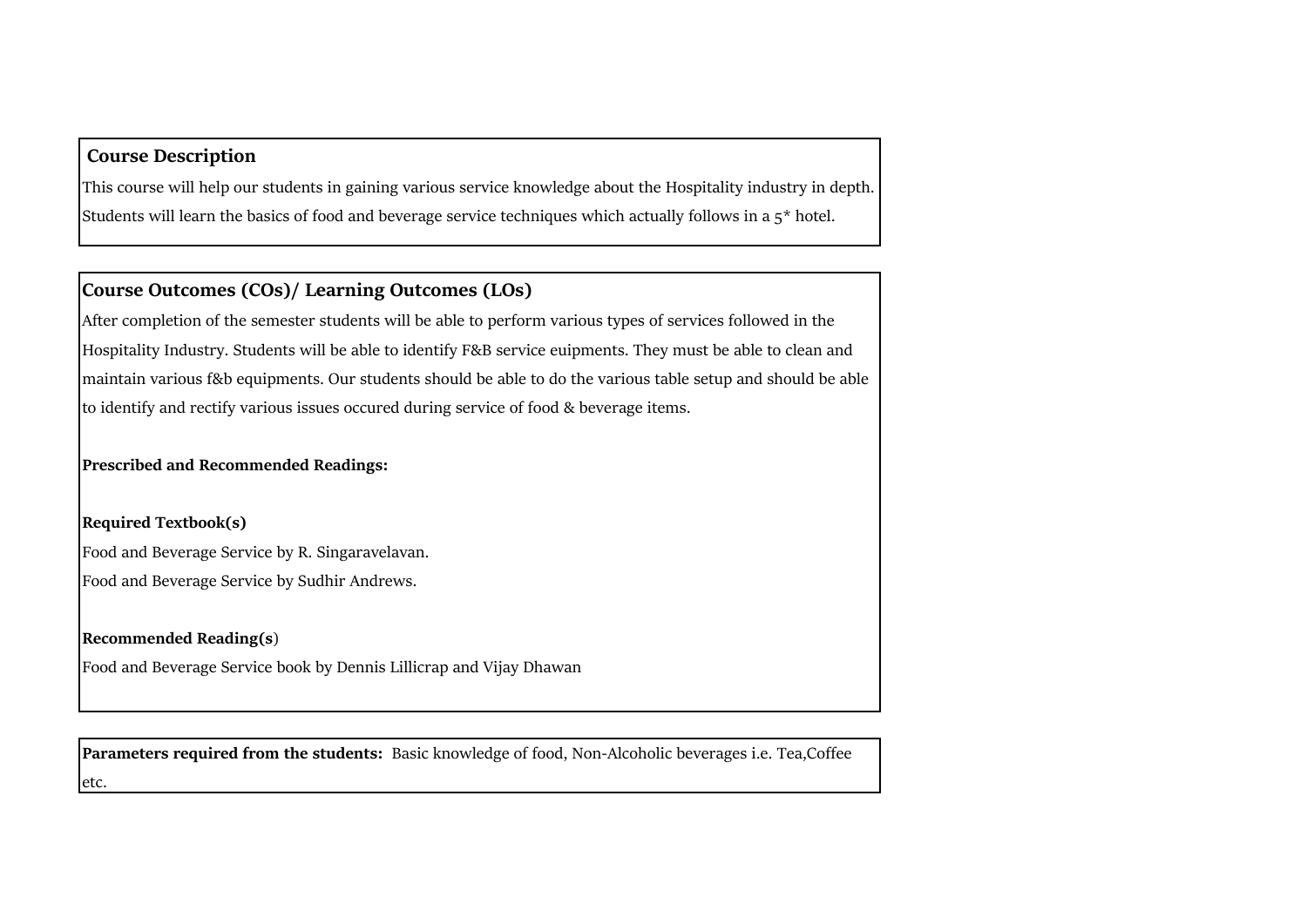### **Course Description**

This course will help our students in gaining various service knowledge about the Hospitality industry in depth. Students will learn the basics of food and beverage service techniques which actually follows in a  $5^*$  hotel.

### **Course Outcomes (COs)/ Learning Outcomes (LOs)**

After completion of the semester students will be able to perform various types of services followed in the Hospitality Industry. Students will be able to identify F&B service euipments. They must be able to clean and maintain various f&b equipments. Our students should be able to do the various table setup and should be able to identify and rectify various issues occured during service of food & beverage items.

**Prescribed and Recommended Readings:**

**Required Textbook(s)** Food and Beverage Service by R. Singaravelavan. Food and Beverage Service by Sudhir Andrews.

#### **Recommended Reading(s**)

Food and Beverage Service book by Dennis Lillicrap and Vijay Dhawan

**Parameters required from the students:** Basic knowledge of food, Non-Alcoholic beverages i.e. Tea,Coffee etc.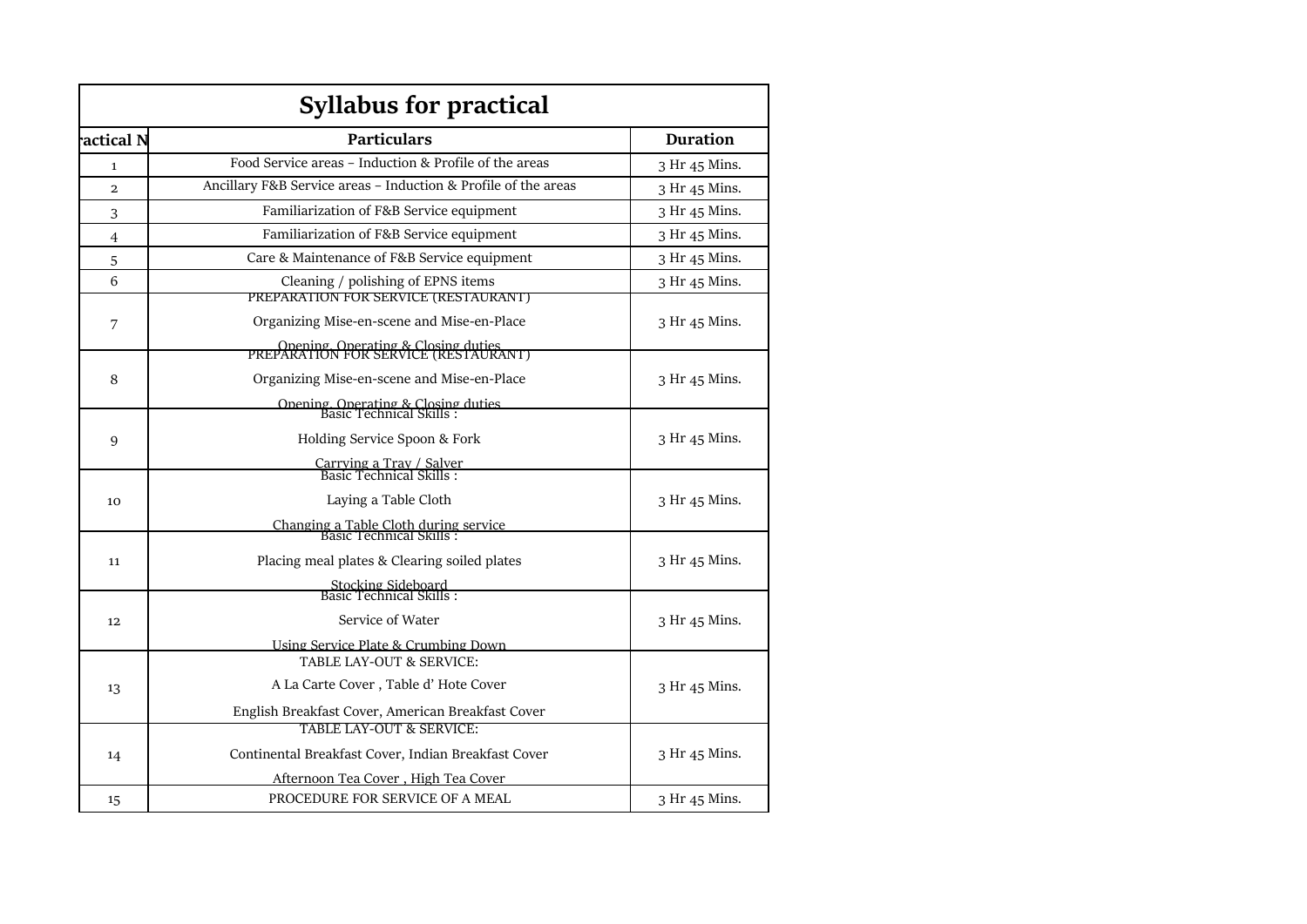|                | <b>Syllabus for practical</b>                                                                                                                                                               |                 |
|----------------|---------------------------------------------------------------------------------------------------------------------------------------------------------------------------------------------|-----------------|
| actical N      | <b>Particulars</b>                                                                                                                                                                          | <b>Duration</b> |
| $\mathbf{1}$   | Food Service areas - Induction & Profile of the areas                                                                                                                                       | 3 Hr 45 Mins.   |
| $\overline{a}$ | Ancillary F&B Service areas - Induction & Profile of the areas                                                                                                                              | 3 Hr 45 Mins.   |
| 3              | Familiarization of F&B Service equipment                                                                                                                                                    | 3 Hr 45 Mins.   |
| $\overline{4}$ | Familiarization of F&B Service equipment                                                                                                                                                    | 3 Hr 45 Mins.   |
| 5              | Care & Maintenance of F&B Service equipment                                                                                                                                                 | 3 Hr 45 Mins.   |
| 6              | Cleaning / polishing of EPNS items<br>PREPARATION FOR SERVICE (RESTAURANT)                                                                                                                  | 3 Hr 45 Mins.   |
| 7              | Organizing Mise-en-scene and Mise-en-Place                                                                                                                                                  | 3 Hr 45 Mins.   |
| 8              | Opening Operating & Closing duties<br>PREPARATION FOR SERVICE (RESTAURANT)<br>Organizing Mise-en-scene and Mise-en-Place<br>Opening, Operating & Closing duties<br>Basic Technical Skills : | 3 Hr 45 Mins.   |
| 9              | Holding Service Spoon & Fork<br>Carrying a Tray / Salver<br>Basic Technical Skills :                                                                                                        | 3 Hr 45 Mins.   |
| 10             | Laying a Table Cloth<br>Changing a Table Cloth during service<br>Basic Technical Skills :                                                                                                   | 3 Hr 45 Mins.   |
| 11             | Placing meal plates & Clearing soiled plates<br>Stocking Sideboard<br>Basic Technical Skills:                                                                                               | 3 Hr 45 Mins.   |
| 12             | Service of Water<br>Using Service Plate & Crumbing Down                                                                                                                                     | 3 Hr 45 Mins.   |
| 13             | TABLE LAY-OUT & SERVICE:<br>A La Carte Cover, Table d'Hote Cover<br>English Breakfast Cover, American Breakfast Cover                                                                       | 3 Hr 45 Mins.   |
| 14             | TABLE LAY-OUT & SERVICE:<br>Continental Breakfast Cover, Indian Breakfast Cover<br>Afternoon Tea Cover, High Tea Cover                                                                      | 3 Hr 45 Mins.   |
| 15             | PROCEDURE FOR SERVICE OF A MEAL                                                                                                                                                             | 3 Hr 45 Mins.   |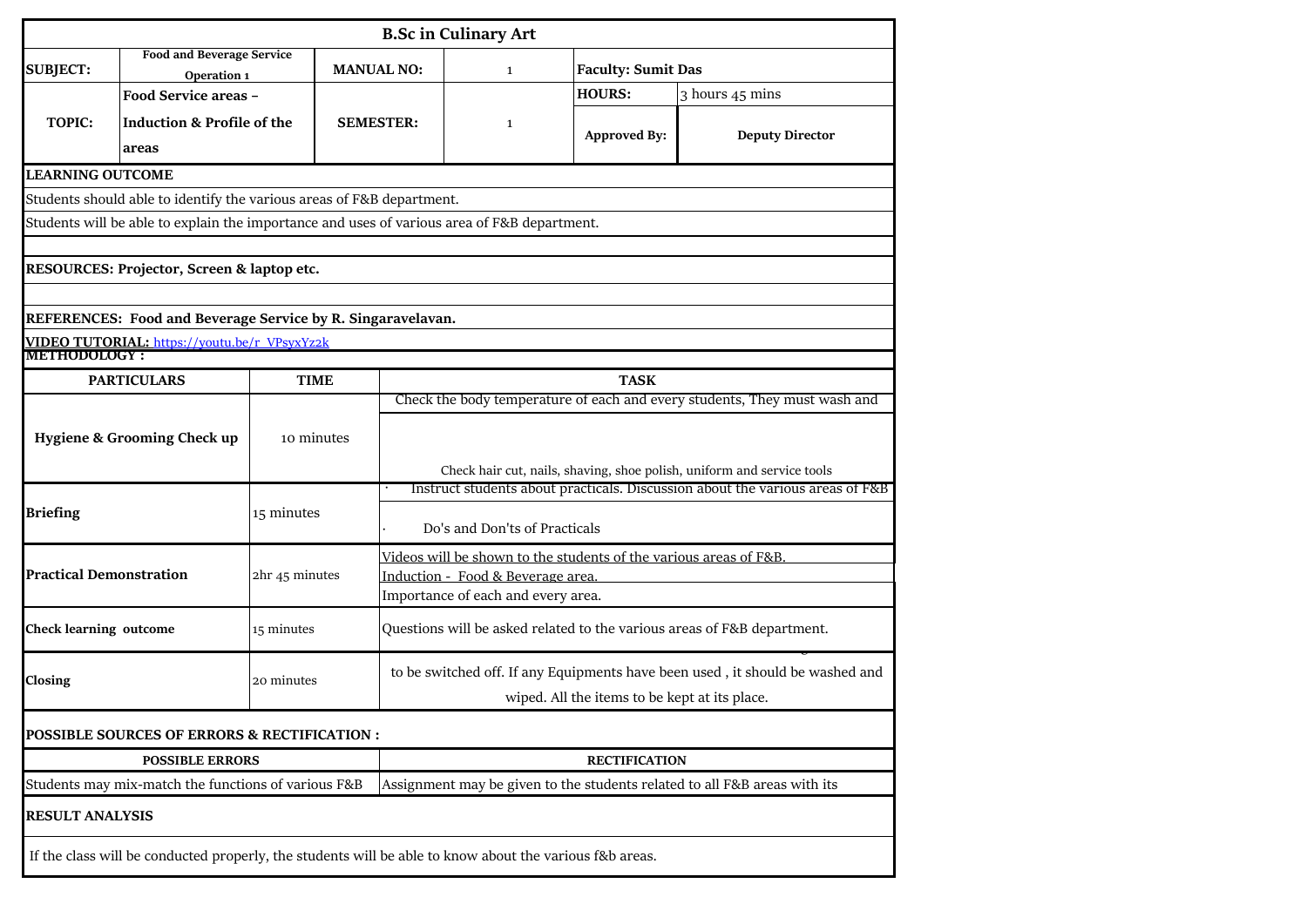| <b>B.Sc in Culinary Art</b>                                           |                                                                                                         |                |                   |                                                                                                                                                         |                                                                   |                                                                               |  |  |  |  |
|-----------------------------------------------------------------------|---------------------------------------------------------------------------------------------------------|----------------|-------------------|---------------------------------------------------------------------------------------------------------------------------------------------------------|-------------------------------------------------------------------|-------------------------------------------------------------------------------|--|--|--|--|
| <b>SUBJECT:</b>                                                       | <b>Food and Beverage Service</b><br>Operation 1                                                         |                | <b>MANUAL NO:</b> | $\mathbf{1}$                                                                                                                                            | <b>Faculty: Sumit Das</b>                                         |                                                                               |  |  |  |  |
|                                                                       | Food Service areas -                                                                                    |                |                   |                                                                                                                                                         | <b>HOURS:</b>                                                     | 3 hours 45 mins                                                               |  |  |  |  |
| TOPIC:                                                                | <b>Induction &amp; Profile of the</b>                                                                   |                | <b>SEMESTER:</b>  | $\mathbf{1}$                                                                                                                                            | <b>Approved By:</b>                                               | <b>Deputy Director</b>                                                        |  |  |  |  |
|                                                                       | areas                                                                                                   |                |                   |                                                                                                                                                         |                                                                   |                                                                               |  |  |  |  |
| <b>LEARNING OUTCOME</b>                                               |                                                                                                         |                |                   |                                                                                                                                                         |                                                                   |                                                                               |  |  |  |  |
| Students should able to identify the various areas of F&B department. |                                                                                                         |                |                   |                                                                                                                                                         |                                                                   |                                                                               |  |  |  |  |
|                                                                       | Students will be able to explain the importance and uses of various area of F&B department.             |                |                   |                                                                                                                                                         |                                                                   |                                                                               |  |  |  |  |
| RESOURCES: Projector, Screen & laptop etc.                            |                                                                                                         |                |                   |                                                                                                                                                         |                                                                   |                                                                               |  |  |  |  |
|                                                                       | REFERENCES: Food and Beverage Service by R. Singaravelavan.                                             |                |                   |                                                                                                                                                         |                                                                   |                                                                               |  |  |  |  |
| VIDEO TUTORIAL: https://youtu.be/r_VPsyxYz2k                          |                                                                                                         |                |                   |                                                                                                                                                         |                                                                   |                                                                               |  |  |  |  |
|                                                                       | <b>METHODOLOGY:</b>                                                                                     |                |                   |                                                                                                                                                         |                                                                   |                                                                               |  |  |  |  |
|                                                                       | <b>PARTICULARS</b>                                                                                      | <b>TIME</b>    |                   |                                                                                                                                                         | <b>TASK</b>                                                       |                                                                               |  |  |  |  |
|                                                                       | <b>Hygiene &amp; Grooming Check up</b>                                                                  | 10 minutes     |                   | Check the body temperature of each and every students, They must wash and                                                                               |                                                                   |                                                                               |  |  |  |  |
|                                                                       |                                                                                                         |                |                   | Check hair cut, nails, shaving, shoe polish, uniform and service tools<br>Instruct students about practicals. Discussion about the various areas of F&B |                                                                   |                                                                               |  |  |  |  |
| <b>Briefing</b>                                                       |                                                                                                         | 15 minutes     |                   | Do's and Don'ts of Practicals                                                                                                                           |                                                                   |                                                                               |  |  |  |  |
|                                                                       |                                                                                                         |                |                   |                                                                                                                                                         | Videos will be shown to the students of the various areas of F&B. |                                                                               |  |  |  |  |
| <b>Practical Demonstration</b>                                        |                                                                                                         | 2hr 45 minutes |                   | Induction - Food & Beverage area.<br>Importance of each and every area.                                                                                 |                                                                   |                                                                               |  |  |  |  |
| <b>Check learning outcome</b>                                         |                                                                                                         | 15 minutes     |                   |                                                                                                                                                         |                                                                   | Questions will be asked related to the various areas of F&B department.       |  |  |  |  |
| Closing                                                               |                                                                                                         | 20 minutes     |                   |                                                                                                                                                         |                                                                   | to be switched off. If any Equipments have been used, it should be washed and |  |  |  |  |
|                                                                       |                                                                                                         |                |                   |                                                                                                                                                         | wiped. All the items to be kept at its place.                     |                                                                               |  |  |  |  |
|                                                                       | <b>POSSIBLE SOURCES OF ERRORS &amp; RECTIFICATION:</b>                                                  |                |                   |                                                                                                                                                         |                                                                   |                                                                               |  |  |  |  |
|                                                                       | <b>POSSIBLE ERRORS</b>                                                                                  |                |                   | <b>RECTIFICATION</b>                                                                                                                                    |                                                                   |                                                                               |  |  |  |  |
|                                                                       | Students may mix-match the functions of various F&B                                                     |                |                   |                                                                                                                                                         |                                                                   | Assignment may be given to the students related to all F&B areas with its     |  |  |  |  |
| <b>RESULT ANALYSIS</b>                                                |                                                                                                         |                |                   |                                                                                                                                                         |                                                                   |                                                                               |  |  |  |  |
|                                                                       | If the class will be conducted properly, the students will be able to know about the various f&b areas. |                |                   |                                                                                                                                                         |                                                                   |                                                                               |  |  |  |  |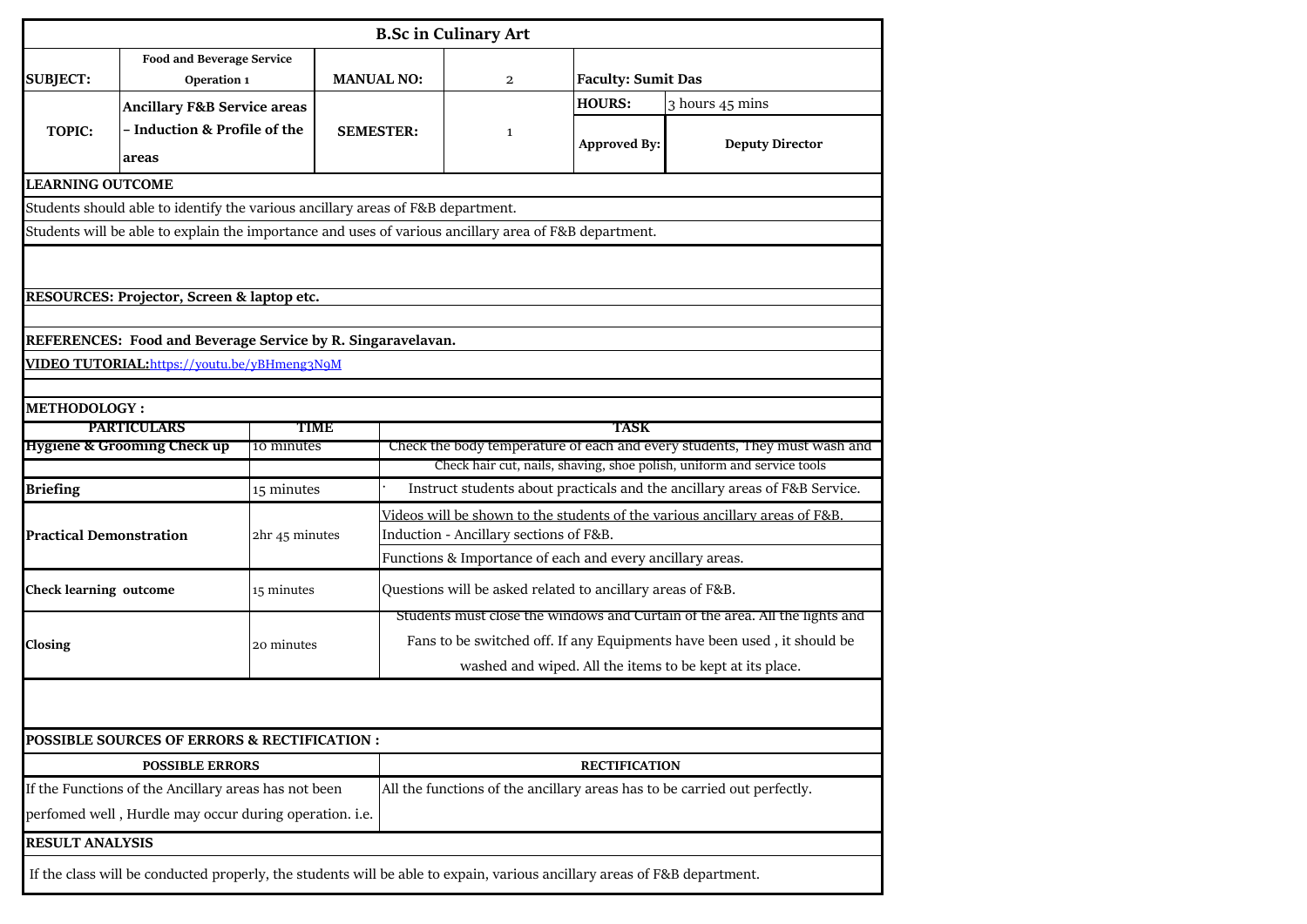|                                                                                                       | <b>B.Sc in Culinary Art</b>                                                                                              |                |                   |                                                                             |                                                            |                           |                                                                                                                                                     |  |  |  |  |
|-------------------------------------------------------------------------------------------------------|--------------------------------------------------------------------------------------------------------------------------|----------------|-------------------|-----------------------------------------------------------------------------|------------------------------------------------------------|---------------------------|-----------------------------------------------------------------------------------------------------------------------------------------------------|--|--|--|--|
| <b>SUBJECT:</b>                                                                                       | <b>Food and Beverage Service</b><br>Operation 1                                                                          |                | <b>MANUAL NO:</b> |                                                                             | $\mathbf{2}$                                               | <b>Faculty: Sumit Das</b> |                                                                                                                                                     |  |  |  |  |
|                                                                                                       | <b>Ancillary F&amp;B Service areas</b>                                                                                   |                |                   |                                                                             |                                                            | <b>HOURS:</b>             | 3 hours 45 mins                                                                                                                                     |  |  |  |  |
| <b>TOPIC:</b>                                                                                         | - Induction & Profile of the<br>areas                                                                                    |                | <b>SEMESTER:</b>  |                                                                             | $\mathbf{1}$                                               | <b>Approved By:</b>       | <b>Deputy Director</b>                                                                                                                              |  |  |  |  |
| <b>LEARNING OUTCOME</b>                                                                               |                                                                                                                          |                |                   |                                                                             |                                                            |                           |                                                                                                                                                     |  |  |  |  |
|                                                                                                       | Students should able to identify the various ancillary areas of F&B department.                                          |                |                   |                                                                             |                                                            |                           |                                                                                                                                                     |  |  |  |  |
| Students will be able to explain the importance and uses of various ancillary area of F&B department. |                                                                                                                          |                |                   |                                                                             |                                                            |                           |                                                                                                                                                     |  |  |  |  |
|                                                                                                       |                                                                                                                          |                |                   |                                                                             |                                                            |                           |                                                                                                                                                     |  |  |  |  |
|                                                                                                       | RESOURCES: Projector, Screen & laptop etc.                                                                               |                |                   |                                                                             |                                                            |                           |                                                                                                                                                     |  |  |  |  |
|                                                                                                       |                                                                                                                          |                |                   |                                                                             |                                                            |                           |                                                                                                                                                     |  |  |  |  |
|                                                                                                       | REFERENCES: Food and Beverage Service by R. Singaravelavan.                                                              |                |                   |                                                                             |                                                            |                           |                                                                                                                                                     |  |  |  |  |
|                                                                                                       | VIDEO TUTORIAL: https://youtu.be/yBHmeng3N9M                                                                             |                |                   |                                                                             |                                                            |                           |                                                                                                                                                     |  |  |  |  |
|                                                                                                       |                                                                                                                          |                |                   |                                                                             |                                                            |                           |                                                                                                                                                     |  |  |  |  |
|                                                                                                       | <b>METHODOLOGY:</b>                                                                                                      |                |                   |                                                                             |                                                            |                           |                                                                                                                                                     |  |  |  |  |
|                                                                                                       | <b>PARTICULARS</b>                                                                                                       | TIME           |                   |                                                                             |                                                            | TASK                      |                                                                                                                                                     |  |  |  |  |
|                                                                                                       | <b>Hygiene &amp; Grooming Check up</b>                                                                                   | 10 minutes     |                   |                                                                             |                                                            |                           | Check the body temperature of each and every students, They must wash and<br>Check hair cut, nails, shaving, shoe polish, uniform and service tools |  |  |  |  |
| <b>Briefing</b>                                                                                       |                                                                                                                          | 15 minutes     |                   |                                                                             |                                                            |                           | Instruct students about practicals and the ancillary areas of F&B Service.                                                                          |  |  |  |  |
|                                                                                                       |                                                                                                                          |                |                   | Videos will be shown to the students of the various ancillary areas of F&B. |                                                            |                           |                                                                                                                                                     |  |  |  |  |
| <b>Practical Demonstration</b>                                                                        |                                                                                                                          | 2hr 45 minutes |                   | Induction - Ancillary sections of F&B.                                      |                                                            |                           |                                                                                                                                                     |  |  |  |  |
|                                                                                                       |                                                                                                                          |                |                   | Functions & Importance of each and every ancillary areas.                   |                                                            |                           |                                                                                                                                                     |  |  |  |  |
| <b>Check learning outcome</b>                                                                         |                                                                                                                          | 15 minutes     |                   |                                                                             | Questions will be asked related to ancillary areas of F&B. |                           |                                                                                                                                                     |  |  |  |  |
|                                                                                                       |                                                                                                                          |                |                   |                                                                             |                                                            |                           | Students must close the windows and Curtain of the area. All the lights and                                                                         |  |  |  |  |
| Closing                                                                                               |                                                                                                                          | 20 minutes     |                   | Fans to be switched off. If any Equipments have been used, it should be     |                                                            |                           |                                                                                                                                                     |  |  |  |  |
|                                                                                                       |                                                                                                                          |                |                   | washed and wiped. All the items to be kept at its place.                    |                                                            |                           |                                                                                                                                                     |  |  |  |  |
|                                                                                                       |                                                                                                                          |                |                   |                                                                             |                                                            |                           |                                                                                                                                                     |  |  |  |  |
|                                                                                                       | <b>POSSIBLE SOURCES OF ERRORS &amp; RECTIFICATION:</b>                                                                   |                |                   |                                                                             |                                                            |                           |                                                                                                                                                     |  |  |  |  |
|                                                                                                       | <b>POSSIBLE ERRORS</b>                                                                                                   |                |                   |                                                                             |                                                            | <b>RECTIFICATION</b>      |                                                                                                                                                     |  |  |  |  |
|                                                                                                       | If the Functions of the Ancillary areas has not been                                                                     |                |                   |                                                                             |                                                            |                           | All the functions of the ancillary areas has to be carried out perfectly.                                                                           |  |  |  |  |
|                                                                                                       | perfomed well, Hurdle may occur during operation. i.e.                                                                   |                |                   |                                                                             |                                                            |                           |                                                                                                                                                     |  |  |  |  |
| <b>RESULT ANALYSIS</b>                                                                                |                                                                                                                          |                |                   |                                                                             |                                                            |                           |                                                                                                                                                     |  |  |  |  |
|                                                                                                       | If the class will be conducted properly, the students will be able to expain, various ancillary areas of F&B department. |                |                   |                                                                             |                                                            |                           |                                                                                                                                                     |  |  |  |  |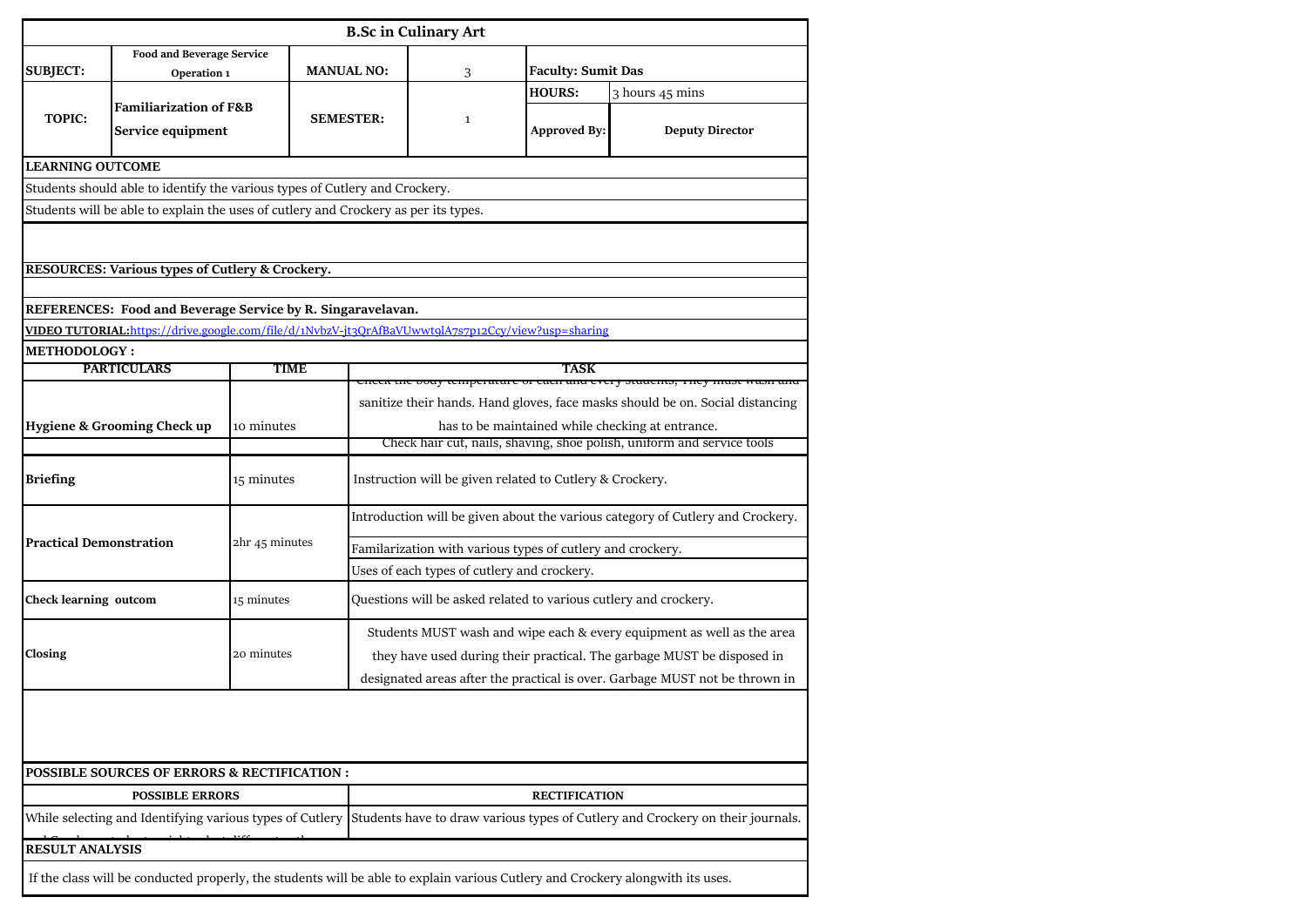|                                                                                                                                        |                                                                                                   |                |                  |                                                                                                                                                                                                             | <b>B.Sc in Culinary Art</b>                                      |                                      |                                                                                                                                                  |  |  |  |
|----------------------------------------------------------------------------------------------------------------------------------------|---------------------------------------------------------------------------------------------------|----------------|------------------|-------------------------------------------------------------------------------------------------------------------------------------------------------------------------------------------------------------|------------------------------------------------------------------|--------------------------------------|--------------------------------------------------------------------------------------------------------------------------------------------------|--|--|--|
|                                                                                                                                        | <b>Food and Beverage Service</b>                                                                  |                |                  |                                                                                                                                                                                                             |                                                                  | <b>Faculty: Sumit Das</b>            |                                                                                                                                                  |  |  |  |
| <b>SUBJECT:</b>                                                                                                                        | Operation 1                                                                                       |                |                  | <b>MANUAL NO:</b>                                                                                                                                                                                           | 3                                                                |                                      |                                                                                                                                                  |  |  |  |
| <b>TOPIC:</b>                                                                                                                          | <b>Familiarization of F&amp;B</b><br>Service equipment                                            |                | <b>SEMESTER:</b> |                                                                                                                                                                                                             | $\mathbf{1}$                                                     | <b>HOURS:</b><br><b>Approved By:</b> | 3 hours 45 mins<br><b>Deputy Director</b>                                                                                                        |  |  |  |
| <b>LEARNING OUTCOME</b>                                                                                                                |                                                                                                   |                |                  |                                                                                                                                                                                                             |                                                                  |                                      |                                                                                                                                                  |  |  |  |
|                                                                                                                                        | Students should able to identify the various types of Cutlery and Crockery.                       |                |                  |                                                                                                                                                                                                             |                                                                  |                                      |                                                                                                                                                  |  |  |  |
|                                                                                                                                        | Students will be able to explain the uses of cutlery and Crockery as per its types.               |                |                  |                                                                                                                                                                                                             |                                                                  |                                      |                                                                                                                                                  |  |  |  |
| RESOURCES: Various types of Cutlery & Crockery.<br>REFERENCES: Food and Beverage Service by R. Singaravelavan.                         |                                                                                                   |                |                  |                                                                                                                                                                                                             |                                                                  |                                      |                                                                                                                                                  |  |  |  |
|                                                                                                                                        | VIDEO TUTORIAL:https://drive.google.com/file/d/1NvbzV-jt3OrAfBaVUwwtqlA7s7p12Ccy/view?usp=sharing |                |                  |                                                                                                                                                                                                             |                                                                  |                                      |                                                                                                                                                  |  |  |  |
| <b>METHODOLOGY:</b>                                                                                                                    |                                                                                                   |                |                  |                                                                                                                                                                                                             |                                                                  |                                      |                                                                                                                                                  |  |  |  |
|                                                                                                                                        | <b>PARTICULARS</b>                                                                                | TIME           |                  |                                                                                                                                                                                                             | oouy temperature or caen and every otationes, rney               | TASK                                 |                                                                                                                                                  |  |  |  |
|                                                                                                                                        | Hygiene & Grooming Check up<br>10 minutes                                                         |                |                  | sanitize their hands. Hand gloves, face masks should be on. Social distancing<br>has to be maintained while checking at entrance.<br>Check hair cut, nails, shaving, shoe polish, uniform and service tools |                                                                  |                                      |                                                                                                                                                  |  |  |  |
| <b>Briefing</b>                                                                                                                        |                                                                                                   | 15 minutes     |                  |                                                                                                                                                                                                             | Instruction will be given related to Cutlery & Crockery.         |                                      |                                                                                                                                                  |  |  |  |
| <b>Practical Demonstration</b>                                                                                                         |                                                                                                   |                |                  | Introduction will be given about the various category of Cutlery and Crockery.                                                                                                                              |                                                                  |                                      |                                                                                                                                                  |  |  |  |
|                                                                                                                                        |                                                                                                   | 2hr 45 minutes |                  | Familarization with various types of cutlery and crockery.                                                                                                                                                  |                                                                  |                                      |                                                                                                                                                  |  |  |  |
|                                                                                                                                        |                                                                                                   |                |                  | Uses of each types of cutlery and crockery.                                                                                                                                                                 |                                                                  |                                      |                                                                                                                                                  |  |  |  |
| Check learning outcom                                                                                                                  |                                                                                                   | 15 minutes     |                  |                                                                                                                                                                                                             | Questions will be asked related to various cutlery and crockery. |                                      |                                                                                                                                                  |  |  |  |
| Closing                                                                                                                                |                                                                                                   | 20 minutes     |                  |                                                                                                                                                                                                             |                                                                  |                                      | Students MUST wash and wipe each & every equipment as well as the area<br>they have used during their practical. The garbage MUST be disposed in |  |  |  |
| designated areas after the practical is over. Garbage MUST not be thrown in<br><b>POSSIBLE SOURCES OF ERRORS &amp; RECTIFICATION :</b> |                                                                                                   |                |                  |                                                                                                                                                                                                             |                                                                  |                                      |                                                                                                                                                  |  |  |  |
|                                                                                                                                        | <b>POSSIBLE ERRORS</b>                                                                            |                |                  |                                                                                                                                                                                                             |                                                                  | <b>RECTIFICATION</b>                 |                                                                                                                                                  |  |  |  |
|                                                                                                                                        |                                                                                                   |                |                  | While selecting and Identifying various types of Cutlery  Students have to draw various types of Cutlery and Crockery on their journals.                                                                    |                                                                  |                                      |                                                                                                                                                  |  |  |  |
| <b>RESULT ANALYSIS</b>                                                                                                                 |                                                                                                   |                |                  |                                                                                                                                                                                                             |                                                                  |                                      |                                                                                                                                                  |  |  |  |
|                                                                                                                                        |                                                                                                   |                |                  |                                                                                                                                                                                                             |                                                                  |                                      | If the class will be conducted properly, the students will be able to explain various Cutlery and Crockery alongwith its uses.                   |  |  |  |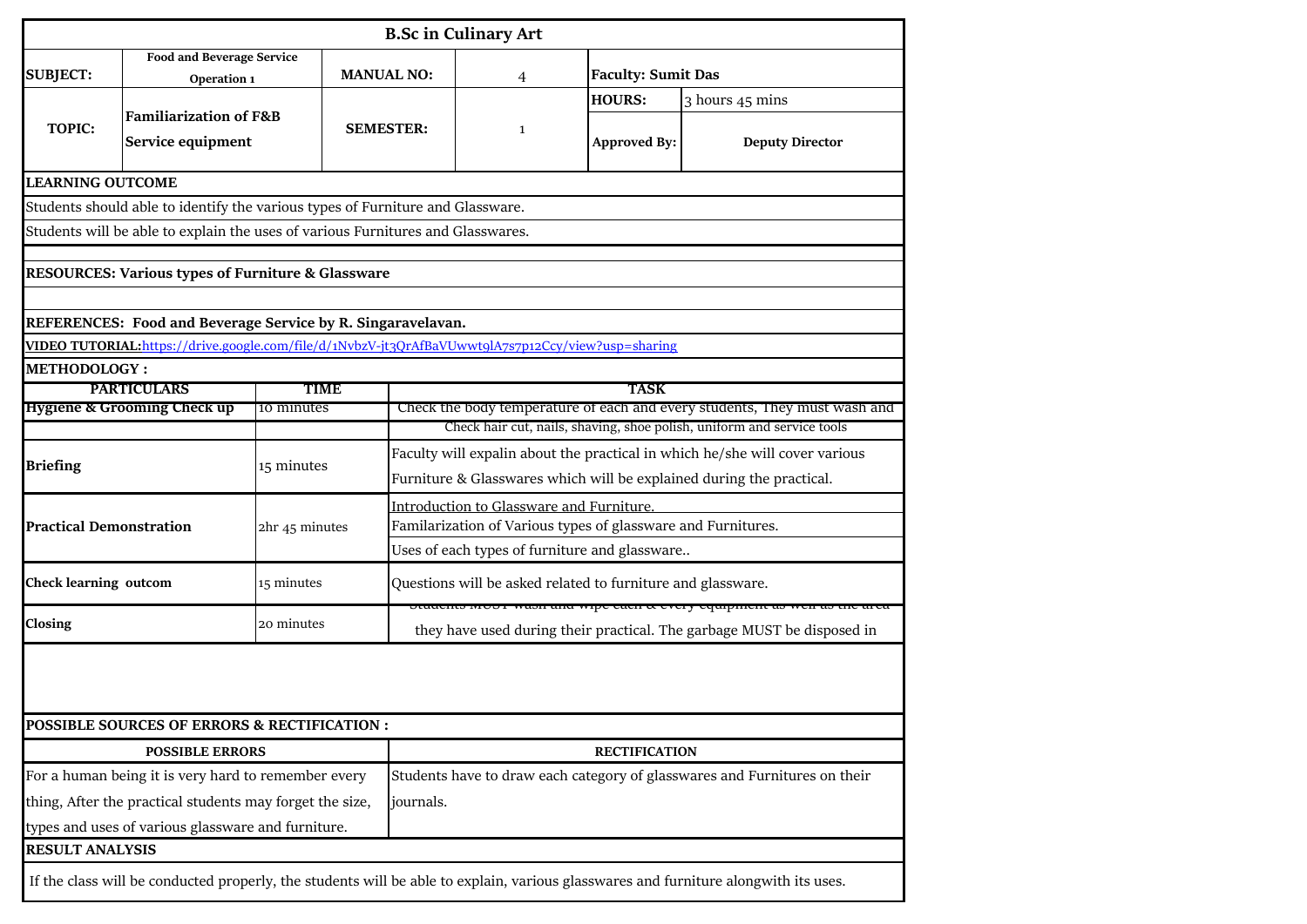|                                |                                                                                                   |                |                   |                                                                                                                                      | <b>B.Sc in Culinary Art</b>                                          |                           |                                                                                                                                     |  |  |  |
|--------------------------------|---------------------------------------------------------------------------------------------------|----------------|-------------------|--------------------------------------------------------------------------------------------------------------------------------------|----------------------------------------------------------------------|---------------------------|-------------------------------------------------------------------------------------------------------------------------------------|--|--|--|
|                                | <b>Food and Beverage Service</b>                                                                  |                |                   |                                                                                                                                      |                                                                      |                           |                                                                                                                                     |  |  |  |
| <b>SUBJECT:</b>                | Operation 1                                                                                       |                | <b>MANUAL NO:</b> |                                                                                                                                      | 4                                                                    | <b>Faculty: Sumit Das</b> |                                                                                                                                     |  |  |  |
|                                | <b>Familiarization of F&amp;B</b>                                                                 |                |                   |                                                                                                                                      |                                                                      | <b>HOURS:</b>             | 3 hours 45 mins                                                                                                                     |  |  |  |
| <b>TOPIC:</b>                  | Service equipment                                                                                 |                |                   | <b>SEMESTER:</b>                                                                                                                     | $\mathbf{1}$                                                         | <b>Approved By:</b>       | <b>Deputy Director</b>                                                                                                              |  |  |  |
| <b>LEARNING OUTCOME</b>        |                                                                                                   |                |                   |                                                                                                                                      |                                                                      |                           |                                                                                                                                     |  |  |  |
|                                | Students should able to identify the various types of Furniture and Glassware.                    |                |                   |                                                                                                                                      |                                                                      |                           |                                                                                                                                     |  |  |  |
|                                | Students will be able to explain the uses of various Furnitures and Glasswares.                   |                |                   |                                                                                                                                      |                                                                      |                           |                                                                                                                                     |  |  |  |
|                                |                                                                                                   |                |                   |                                                                                                                                      |                                                                      |                           |                                                                                                                                     |  |  |  |
|                                | <b>RESOURCES: Various types of Furniture &amp; Glassware</b>                                      |                |                   |                                                                                                                                      |                                                                      |                           |                                                                                                                                     |  |  |  |
|                                |                                                                                                   |                |                   |                                                                                                                                      |                                                                      |                           |                                                                                                                                     |  |  |  |
|                                | REFERENCES: Food and Beverage Service by R. Singaravelavan.                                       |                |                   |                                                                                                                                      |                                                                      |                           |                                                                                                                                     |  |  |  |
|                                | VIDEO TUTORIAL:https://drive.google.com/file/d/1NvbzV-jt3QrAfBaVUwwt9lA7s7p12Ccy/view?usp=sharing |                |                   |                                                                                                                                      |                                                                      |                           |                                                                                                                                     |  |  |  |
| <b>METHODOLOGY:</b>            | <b>PARTICULARS</b>                                                                                | TIME           |                   |                                                                                                                                      |                                                                      | <b>TASK</b>               |                                                                                                                                     |  |  |  |
|                                | <b>Hygiene &amp; Grooming Check up</b>                                                            | 10 minutes     |                   |                                                                                                                                      |                                                                      |                           | Check the body temperature of each and every students, They must wash and                                                           |  |  |  |
|                                |                                                                                                   |                |                   |                                                                                                                                      |                                                                      |                           | Check hair cut, nails, shaving, shoe polish, uniform and service tools                                                              |  |  |  |
|                                |                                                                                                   |                |                   |                                                                                                                                      |                                                                      |                           | Faculty will expalin about the practical in which he/she will cover various                                                         |  |  |  |
| <b>Briefing</b>                |                                                                                                   | 15 minutes     |                   |                                                                                                                                      | Furniture & Glasswares which will be explained during the practical. |                           |                                                                                                                                     |  |  |  |
|                                |                                                                                                   |                |                   | Introduction to Glassware and Furniture.                                                                                             |                                                                      |                           |                                                                                                                                     |  |  |  |
| <b>Practical Demonstration</b> |                                                                                                   | 2hr 45 minutes |                   | Familarization of Various types of glassware and Furnitures.                                                                         |                                                                      |                           |                                                                                                                                     |  |  |  |
|                                |                                                                                                   |                |                   | Uses of each types of furniture and glassware                                                                                        |                                                                      |                           |                                                                                                                                     |  |  |  |
| <b>Check learning outcom</b>   |                                                                                                   | 15 minutes     |                   |                                                                                                                                      | Questions will be asked related to furniture and glassware.          |                           |                                                                                                                                     |  |  |  |
| Closing                        |                                                                                                   | 20 minutes     |                   | otuacino moor wasii ana wipe cacii & every equipment as we<br>they have used during their practical. The garbage MUST be disposed in |                                                                      |                           |                                                                                                                                     |  |  |  |
|                                | POSSIBLE SOURCES OF ERRORS & RECTIFICATION :                                                      |                |                   |                                                                                                                                      |                                                                      |                           |                                                                                                                                     |  |  |  |
|                                | <b>POSSIBLE ERRORS</b>                                                                            |                |                   |                                                                                                                                      |                                                                      | <b>RECTIFICATION</b>      |                                                                                                                                     |  |  |  |
|                                | For a human being it is very hard to remember every                                               |                |                   |                                                                                                                                      |                                                                      |                           | Students have to draw each category of glasswares and Furnitures on their                                                           |  |  |  |
|                                | thing, After the practical students may forget the size,                                          |                |                   | journals.                                                                                                                            |                                                                      |                           |                                                                                                                                     |  |  |  |
|                                | types and uses of various glassware and furniture.                                                |                |                   |                                                                                                                                      |                                                                      |                           |                                                                                                                                     |  |  |  |
| <b>RESULT ANALYSIS</b>         |                                                                                                   |                |                   |                                                                                                                                      |                                                                      |                           |                                                                                                                                     |  |  |  |
|                                |                                                                                                   |                |                   |                                                                                                                                      |                                                                      |                           | If the class will be conducted properly, the students will be able to explain, various glasswares and furniture alongwith its uses. |  |  |  |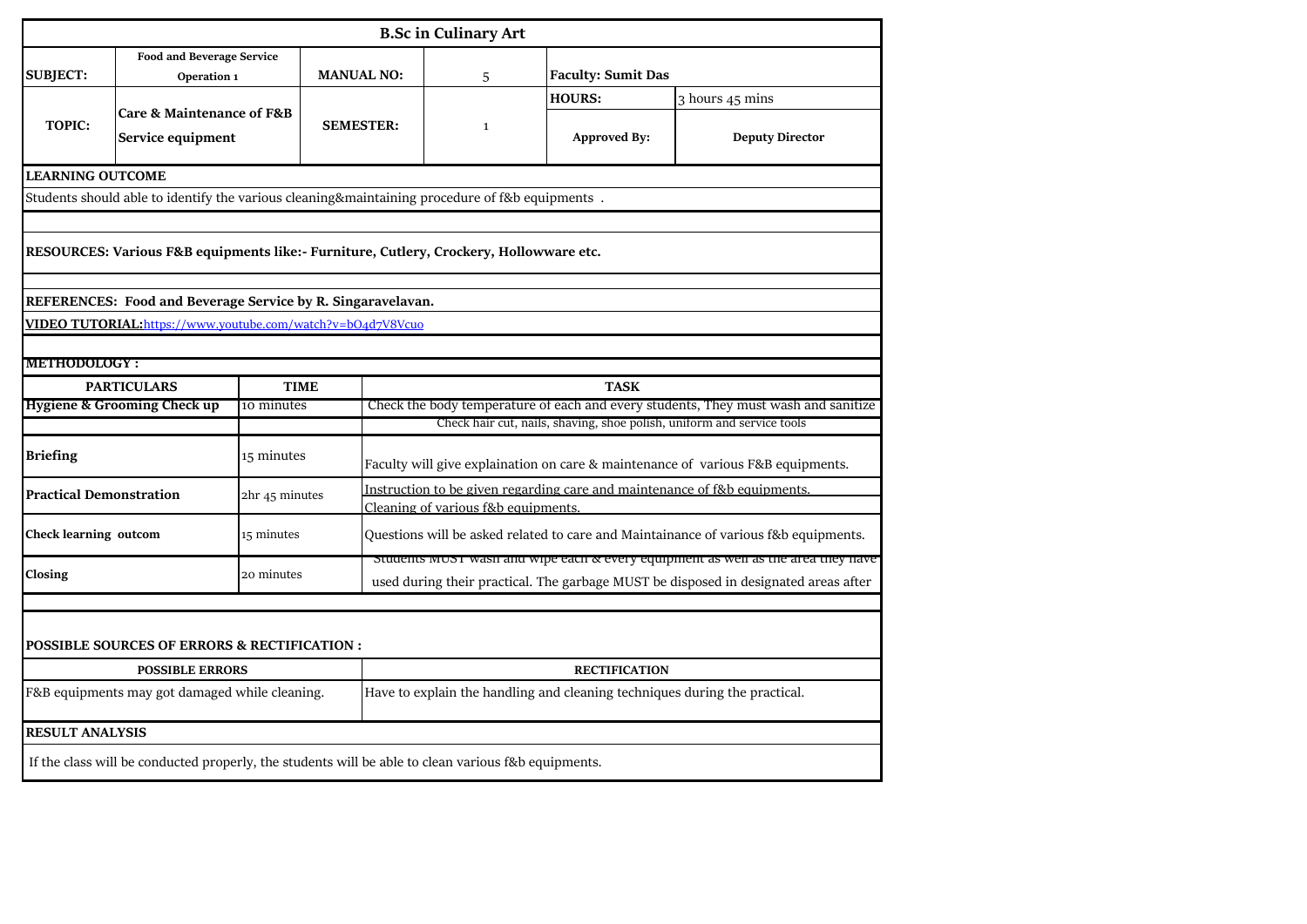|                                                                                                |                                                                                                     |                                                                            |                   |  | <b>B.Sc in Culinary Art</b>        |  |                           |                                                                                                                                                                         |  |  |  |
|------------------------------------------------------------------------------------------------|-----------------------------------------------------------------------------------------------------|----------------------------------------------------------------------------|-------------------|--|------------------------------------|--|---------------------------|-------------------------------------------------------------------------------------------------------------------------------------------------------------------------|--|--|--|
| <b>SUBJECT:</b>                                                                                | <b>Food and Beverage Service</b><br>Operation 1                                                     |                                                                            | <b>MANUAL NO:</b> |  | 5                                  |  | <b>Faculty: Sumit Das</b> |                                                                                                                                                                         |  |  |  |
|                                                                                                |                                                                                                     |                                                                            |                   |  |                                    |  | <b>HOURS:</b>             | 3 hours 45 mins                                                                                                                                                         |  |  |  |
| <b>TOPIC:</b>                                                                                  | Care & Maintenance of F&B<br>Service equipment                                                      |                                                                            | <b>SEMESTER:</b>  |  | $\mathbf{1}$                       |  | <b>Approved By:</b>       | <b>Deputy Director</b>                                                                                                                                                  |  |  |  |
| <b>LEARNING OUTCOME</b>                                                                        |                                                                                                     |                                                                            |                   |  |                                    |  |                           |                                                                                                                                                                         |  |  |  |
| Students should able to identify the various cleaning&maintaining procedure of f&b equipments. |                                                                                                     |                                                                            |                   |  |                                    |  |                           |                                                                                                                                                                         |  |  |  |
|                                                                                                |                                                                                                     |                                                                            |                   |  |                                    |  |                           |                                                                                                                                                                         |  |  |  |
| RESOURCES: Various F&B equipments like:- Furniture, Cutlery, Crockery, Hollowware etc.         |                                                                                                     |                                                                            |                   |  |                                    |  |                           |                                                                                                                                                                         |  |  |  |
|                                                                                                | REFERENCES: Food and Beverage Service by R. Singaravelavan.                                         |                                                                            |                   |  |                                    |  |                           |                                                                                                                                                                         |  |  |  |
|                                                                                                | VIDEO TUTORIAL:https://www.youtube.com/watch?v=bO4d7V8Vcuo                                          |                                                                            |                   |  |                                    |  |                           |                                                                                                                                                                         |  |  |  |
|                                                                                                |                                                                                                     |                                                                            |                   |  |                                    |  |                           |                                                                                                                                                                         |  |  |  |
| <b>METHODOLOGY:</b>                                                                            |                                                                                                     |                                                                            |                   |  |                                    |  |                           |                                                                                                                                                                         |  |  |  |
|                                                                                                | <b>PARTICULARS</b>                                                                                  | <b>TIME</b>                                                                |                   |  |                                    |  | <b>TASK</b>               |                                                                                                                                                                         |  |  |  |
|                                                                                                | <b>Hygiene &amp; Grooming Check up</b>                                                              | 10 minutes                                                                 |                   |  |                                    |  |                           | Check the body temperature of each and every students, They must wash and sanitize                                                                                      |  |  |  |
|                                                                                                |                                                                                                     |                                                                            |                   |  |                                    |  |                           | Check hair cut, nails, shaving, shoe polish, uniform and service tools                                                                                                  |  |  |  |
| <b>Briefing</b>                                                                                |                                                                                                     | 15 minutes                                                                 |                   |  |                                    |  |                           | Faculty will give explaination on care & maintenance of various F&B equipments.                                                                                         |  |  |  |
| Practical Demonstration                                                                        |                                                                                                     | 2hr 45 minutes                                                             |                   |  |                                    |  |                           | Instruction to be given regarding care and maintenance of f&b equipments.                                                                                               |  |  |  |
|                                                                                                |                                                                                                     |                                                                            |                   |  | Cleaning of various f&b equipments |  |                           |                                                                                                                                                                         |  |  |  |
| Check learning outcom                                                                          |                                                                                                     | 15 minutes                                                                 |                   |  |                                    |  |                           | Questions will be asked related to care and Maintainance of various f&b equipments.                                                                                     |  |  |  |
| Closing                                                                                        |                                                                                                     | 20 minutes                                                                 |                   |  |                                    |  |                           | students must wasn and wipe each & every equipment as well as the area they have<br>used during their practical. The garbage MUST be disposed in designated areas after |  |  |  |
|                                                                                                |                                                                                                     |                                                                            |                   |  |                                    |  |                           |                                                                                                                                                                         |  |  |  |
|                                                                                                | <b>POSSIBLE SOURCES OF ERRORS &amp; RECTIFICATION :</b>                                             |                                                                            |                   |  |                                    |  |                           |                                                                                                                                                                         |  |  |  |
|                                                                                                | <b>POSSIBLE ERRORS</b>                                                                              |                                                                            |                   |  |                                    |  | <b>RECTIFICATION</b>      |                                                                                                                                                                         |  |  |  |
| F&B equipments may got damaged while cleaning.                                                 |                                                                                                     | Have to explain the handling and cleaning techniques during the practical. |                   |  |                                    |  |                           |                                                                                                                                                                         |  |  |  |
| <b>RESULT ANALYSIS</b>                                                                         |                                                                                                     |                                                                            |                   |  |                                    |  |                           |                                                                                                                                                                         |  |  |  |
|                                                                                                | If the class will be conducted properly, the students will be able to clean various f&b equipments. |                                                                            |                   |  |                                    |  |                           |                                                                                                                                                                         |  |  |  |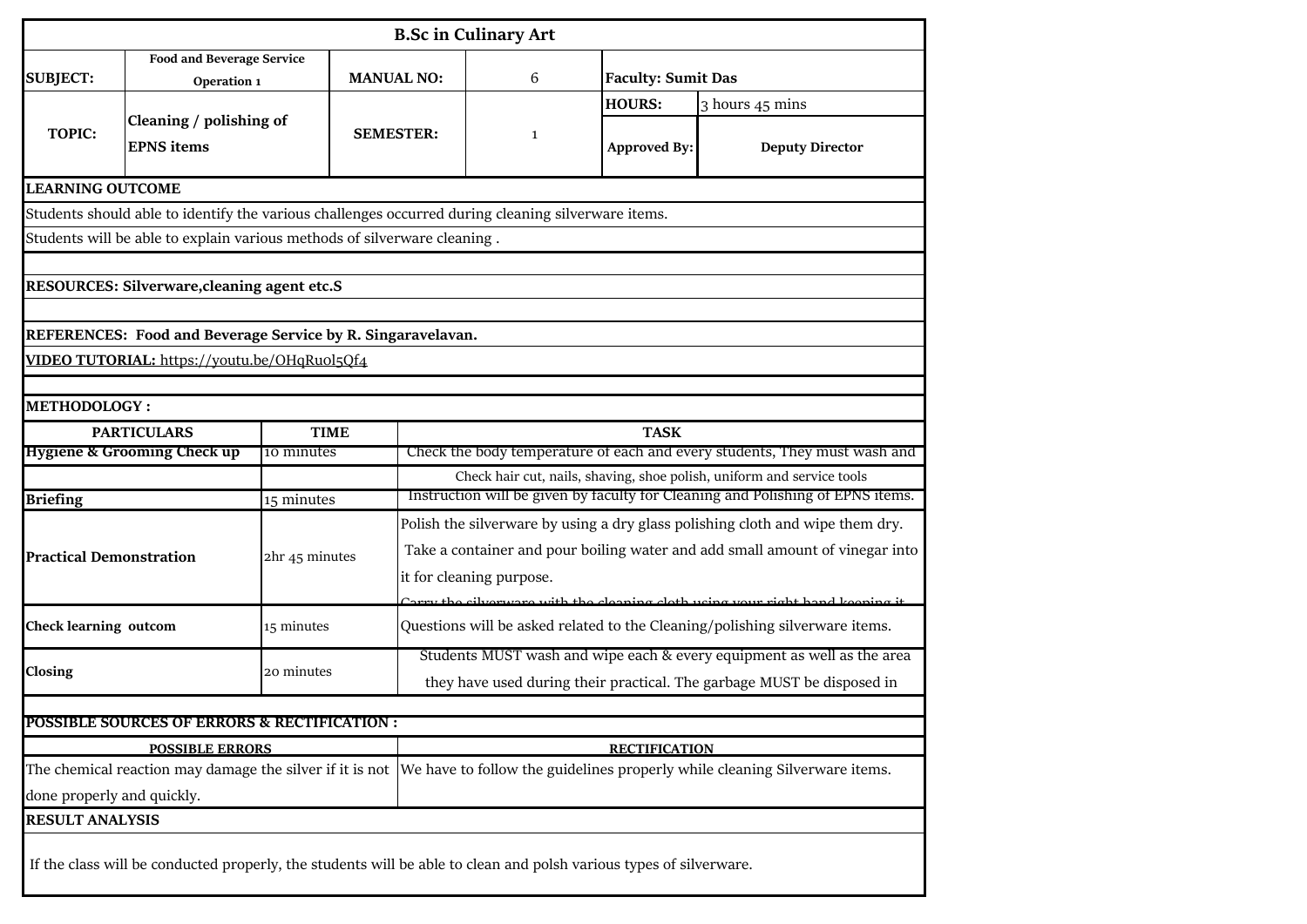|                                |                                                                                                                    |                |                   |                                                                                                                                                          | <b>B.Sc in Culinary Art</b> |                           |                                                                                                                                     |  |  |  |
|--------------------------------|--------------------------------------------------------------------------------------------------------------------|----------------|-------------------|----------------------------------------------------------------------------------------------------------------------------------------------------------|-----------------------------|---------------------------|-------------------------------------------------------------------------------------------------------------------------------------|--|--|--|
| <b>SUBJECT:</b>                | <b>Food and Beverage Service</b><br>Operation 1                                                                    |                | <b>MANUAL NO:</b> |                                                                                                                                                          | 6                           | <b>Faculty: Sumit Das</b> |                                                                                                                                     |  |  |  |
|                                |                                                                                                                    |                |                   |                                                                                                                                                          |                             | <b>HOURS:</b>             | 3 hours 45 mins                                                                                                                     |  |  |  |
| <b>TOPIC:</b>                  | Cleaning / polishing of<br><b>EPNS</b> items                                                                       |                | <b>SEMESTER:</b>  |                                                                                                                                                          | 1                           | <b>Approved By:</b>       | <b>Deputy Director</b>                                                                                                              |  |  |  |
| <b>LEARNING OUTCOME</b>        |                                                                                                                    |                |                   |                                                                                                                                                          |                             |                           |                                                                                                                                     |  |  |  |
|                                | Students should able to identify the various challenges occurred during cleaning silverware items.                 |                |                   |                                                                                                                                                          |                             |                           |                                                                                                                                     |  |  |  |
|                                | Students will be able to explain various methods of silverware cleaning.                                           |                |                   |                                                                                                                                                          |                             |                           |                                                                                                                                     |  |  |  |
|                                |                                                                                                                    |                |                   |                                                                                                                                                          |                             |                           |                                                                                                                                     |  |  |  |
|                                | RESOURCES: Silverware, cleaning agent etc.S                                                                        |                |                   |                                                                                                                                                          |                             |                           |                                                                                                                                     |  |  |  |
|                                |                                                                                                                    |                |                   |                                                                                                                                                          |                             |                           |                                                                                                                                     |  |  |  |
|                                | REFERENCES: Food and Beverage Service by R. Singaravelavan.                                                        |                |                   |                                                                                                                                                          |                             |                           |                                                                                                                                     |  |  |  |
|                                | VIDEO TUTORIAL: https://youtu.be/OHqRuol5Qf4                                                                       |                |                   |                                                                                                                                                          |                             |                           |                                                                                                                                     |  |  |  |
|                                |                                                                                                                    |                |                   |                                                                                                                                                          |                             |                           |                                                                                                                                     |  |  |  |
| <b>METHODOLOGY:</b>            |                                                                                                                    |                |                   |                                                                                                                                                          |                             |                           |                                                                                                                                     |  |  |  |
|                                | <b>PARTICULARS</b>                                                                                                 | <b>TIME</b>    |                   |                                                                                                                                                          |                             | <b>TASK</b>               |                                                                                                                                     |  |  |  |
|                                | <b>Hygiene &amp; Grooming Check up</b><br>10 minutes                                                               |                |                   |                                                                                                                                                          |                             |                           | Check the body temperature of each and every students, They must wash and                                                           |  |  |  |
|                                |                                                                                                                    |                |                   | Check hair cut, nails, shaving, shoe polish, uniform and service tools<br>Instruction will be given by faculty for Cleaning and Polishing of EPNS items. |                             |                           |                                                                                                                                     |  |  |  |
| <b>Briefing</b>                |                                                                                                                    | 15 minutes     |                   |                                                                                                                                                          |                             |                           |                                                                                                                                     |  |  |  |
|                                |                                                                                                                    |                |                   | Polish the silverware by using a dry glass polishing cloth and wipe them dry.                                                                            |                             |                           |                                                                                                                                     |  |  |  |
| <b>Practical Demonstration</b> |                                                                                                                    | 2hr 45 minutes |                   | Take a container and pour boiling water and add small amount of vinegar into                                                                             |                             |                           |                                                                                                                                     |  |  |  |
|                                |                                                                                                                    |                |                   | it for cleaning purpose.                                                                                                                                 |                             |                           |                                                                                                                                     |  |  |  |
|                                |                                                                                                                    |                |                   |                                                                                                                                                          |                             |                           | Correct the cityer were with the cleaning cleth weing your right hand keeping is                                                    |  |  |  |
| <b>Check learning outcom</b>   |                                                                                                                    | 15 minutes     |                   |                                                                                                                                                          |                             |                           | Questions will be asked related to the Cleaning/polishing silverware items.                                                         |  |  |  |
|                                |                                                                                                                    |                |                   | Students MUST wash and wipe each & every equipment as well as the area                                                                                   |                             |                           |                                                                                                                                     |  |  |  |
| Closing                        |                                                                                                                    | 20 minutes     |                   | they have used during their practical. The garbage MUST be disposed in                                                                                   |                             |                           |                                                                                                                                     |  |  |  |
|                                |                                                                                                                    |                |                   |                                                                                                                                                          |                             |                           |                                                                                                                                     |  |  |  |
|                                | <b>POSSIBLE SOURCES OF ERRORS &amp; RECTIFICATION:</b>                                                             |                |                   |                                                                                                                                                          |                             |                           |                                                                                                                                     |  |  |  |
|                                | <b>POSSIBLE ERRORS</b>                                                                                             |                |                   |                                                                                                                                                          |                             | <b>RECTIFICATION</b>      |                                                                                                                                     |  |  |  |
|                                |                                                                                                                    |                |                   |                                                                                                                                                          |                             |                           | The chemical reaction may damage the silver if it is not We have to follow the guidelines properly while cleaning Silverware items. |  |  |  |
| done properly and quickly.     |                                                                                                                    |                |                   |                                                                                                                                                          |                             |                           |                                                                                                                                     |  |  |  |
| <b>RESULT ANALYSIS</b>         |                                                                                                                    |                |                   |                                                                                                                                                          |                             |                           |                                                                                                                                     |  |  |  |
|                                | If the class will be conducted properly, the students will be able to clean and polsh various types of silverware. |                |                   |                                                                                                                                                          |                             |                           |                                                                                                                                     |  |  |  |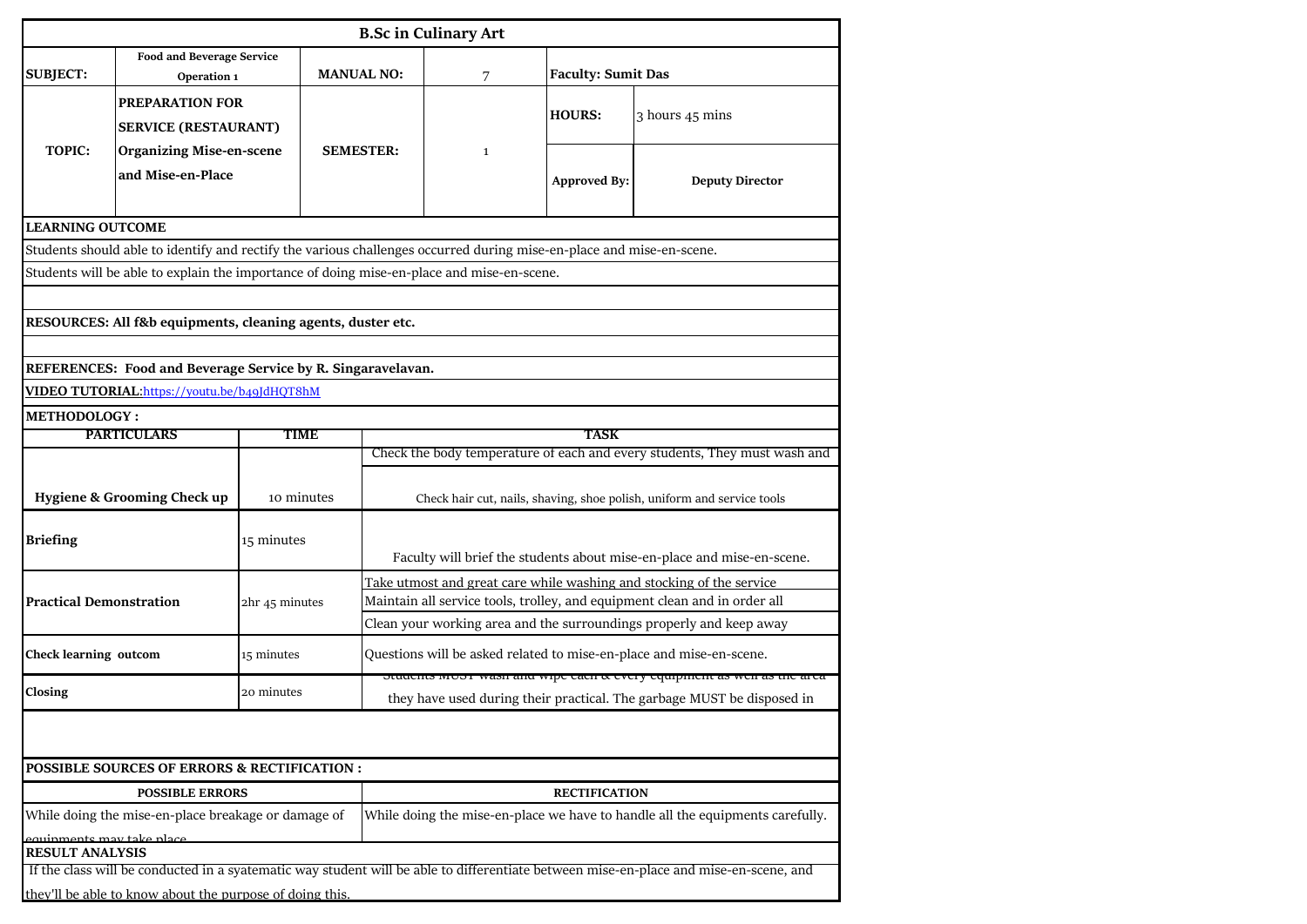| <b>B.Sc in Culinary Art</b>                                                                                                                                                                       |                                                                                           |                |                   |                                                                                                                                                   |                      |                                                                               |  |  |  |
|---------------------------------------------------------------------------------------------------------------------------------------------------------------------------------------------------|-------------------------------------------------------------------------------------------|----------------|-------------------|---------------------------------------------------------------------------------------------------------------------------------------------------|----------------------|-------------------------------------------------------------------------------|--|--|--|
| <b>Food and Beverage Service</b>                                                                                                                                                                  |                                                                                           |                |                   |                                                                                                                                                   |                      |                                                                               |  |  |  |
| <b>SUBJECT:</b>                                                                                                                                                                                   | Operation 1                                                                               |                | <b>MANUAL NO:</b> | 7                                                                                                                                                 |                      | <b>Faculty: Sumit Das</b>                                                     |  |  |  |
|                                                                                                                                                                                                   | PREPARATION FOR                                                                           |                |                   |                                                                                                                                                   |                      |                                                                               |  |  |  |
|                                                                                                                                                                                                   | <b>SERVICE (RESTAURANT)</b>                                                               |                |                   |                                                                                                                                                   | <b>HOURS:</b>        | 3 hours 45 mins                                                               |  |  |  |
| <b>TOPIC:</b>                                                                                                                                                                                     | <b>Organizing Mise-en-scene</b>                                                           |                | <b>SEMESTER:</b>  | $\mathbf 1$                                                                                                                                       |                      |                                                                               |  |  |  |
|                                                                                                                                                                                                   | and Mise-en-Place                                                                         |                |                   |                                                                                                                                                   | <b>Approved By:</b>  | <b>Deputy Director</b>                                                        |  |  |  |
|                                                                                                                                                                                                   |                                                                                           |                |                   |                                                                                                                                                   |                      |                                                                               |  |  |  |
| <b>LEARNING OUTCOME</b>                                                                                                                                                                           |                                                                                           |                |                   |                                                                                                                                                   |                      |                                                                               |  |  |  |
| Students should able to identify and rectify the various challenges occurred during mise-en-place and mise-en-scene.                                                                              |                                                                                           |                |                   |                                                                                                                                                   |                      |                                                                               |  |  |  |
|                                                                                                                                                                                                   | Students will be able to explain the importance of doing mise-en-place and mise-en-scene. |                |                   |                                                                                                                                                   |                      |                                                                               |  |  |  |
|                                                                                                                                                                                                   |                                                                                           |                |                   |                                                                                                                                                   |                      |                                                                               |  |  |  |
|                                                                                                                                                                                                   | RESOURCES: All f&b equipments, cleaning agents, duster etc.                               |                |                   |                                                                                                                                                   |                      |                                                                               |  |  |  |
|                                                                                                                                                                                                   |                                                                                           |                |                   |                                                                                                                                                   |                      |                                                                               |  |  |  |
|                                                                                                                                                                                                   | REFERENCES: Food and Beverage Service by R. Singaravelavan.                               |                |                   |                                                                                                                                                   |                      |                                                                               |  |  |  |
| VIDEO TUTORIAL: https://youtu.be/b49JdHQT8hM                                                                                                                                                      |                                                                                           |                |                   |                                                                                                                                                   |                      |                                                                               |  |  |  |
| <b>METHODOLOGY:</b><br><b>PARTICULARS</b>                                                                                                                                                         |                                                                                           |                |                   |                                                                                                                                                   |                      |                                                                               |  |  |  |
|                                                                                                                                                                                                   |                                                                                           | <b>TIME</b>    |                   | TASK<br>Check the body temperature of each and every students, They must wash and                                                                 |                      |                                                                               |  |  |  |
|                                                                                                                                                                                                   |                                                                                           |                |                   |                                                                                                                                                   |                      |                                                                               |  |  |  |
|                                                                                                                                                                                                   | <b>Hygiene &amp; Grooming Check up</b>                                                    | 10 minutes     |                   |                                                                                                                                                   |                      | Check hair cut, nails, shaving, shoe polish, uniform and service tools        |  |  |  |
|                                                                                                                                                                                                   |                                                                                           |                |                   |                                                                                                                                                   |                      |                                                                               |  |  |  |
| <b>Briefing</b>                                                                                                                                                                                   |                                                                                           | 15 minutes     |                   | Faculty will brief the students about mise-en-place and mise-en-scene.                                                                            |                      |                                                                               |  |  |  |
|                                                                                                                                                                                                   |                                                                                           |                |                   |                                                                                                                                                   |                      |                                                                               |  |  |  |
| <b>Practical Demonstration</b>                                                                                                                                                                    |                                                                                           | 2hr 45 minutes |                   | Take utmost and great care while washing and stocking of the service<br>Maintain all service tools, trolley, and equipment clean and in order all |                      |                                                                               |  |  |  |
|                                                                                                                                                                                                   |                                                                                           |                |                   | Clean your working area and the surroundings properly and keep away                                                                               |                      |                                                                               |  |  |  |
| Check learning outcom                                                                                                                                                                             |                                                                                           | 15 minutes     |                   |                                                                                                                                                   |                      | Questions will be asked related to mise-en-place and mise-en-scene.           |  |  |  |
|                                                                                                                                                                                                   |                                                                                           |                |                   |                                                                                                                                                   |                      | OUT wasn and wipe each & every equipment as wen as                            |  |  |  |
| Closing                                                                                                                                                                                           |                                                                                           | 20 minutes     |                   |                                                                                                                                                   |                      | they have used during their practical. The garbage MUST be disposed in        |  |  |  |
|                                                                                                                                                                                                   |                                                                                           |                |                   |                                                                                                                                                   |                      |                                                                               |  |  |  |
|                                                                                                                                                                                                   |                                                                                           |                |                   |                                                                                                                                                   |                      |                                                                               |  |  |  |
|                                                                                                                                                                                                   | <b>POSSIBLE SOURCES OF ERRORS &amp; RECTIFICATION:</b>                                    |                |                   |                                                                                                                                                   |                      |                                                                               |  |  |  |
|                                                                                                                                                                                                   | <b>POSSIBLE ERRORS</b>                                                                    |                |                   |                                                                                                                                                   | <b>RECTIFICATION</b> |                                                                               |  |  |  |
|                                                                                                                                                                                                   | While doing the mise-en-place breakage or damage of                                       |                |                   |                                                                                                                                                   |                      | While doing the mise-en-place we have to handle all the equipments carefully. |  |  |  |
| equipmente may take place.<br><b>RESULT ANALYSIS</b>                                                                                                                                              |                                                                                           |                |                   |                                                                                                                                                   |                      |                                                                               |  |  |  |
|                                                                                                                                                                                                   |                                                                                           |                |                   |                                                                                                                                                   |                      |                                                                               |  |  |  |
| If the class will be conducted in a syatematic way student will be able to differentiate between mise-en-place and mise-en-scene, and<br>they'll be able to know about the purpose of doing this. |                                                                                           |                |                   |                                                                                                                                                   |                      |                                                                               |  |  |  |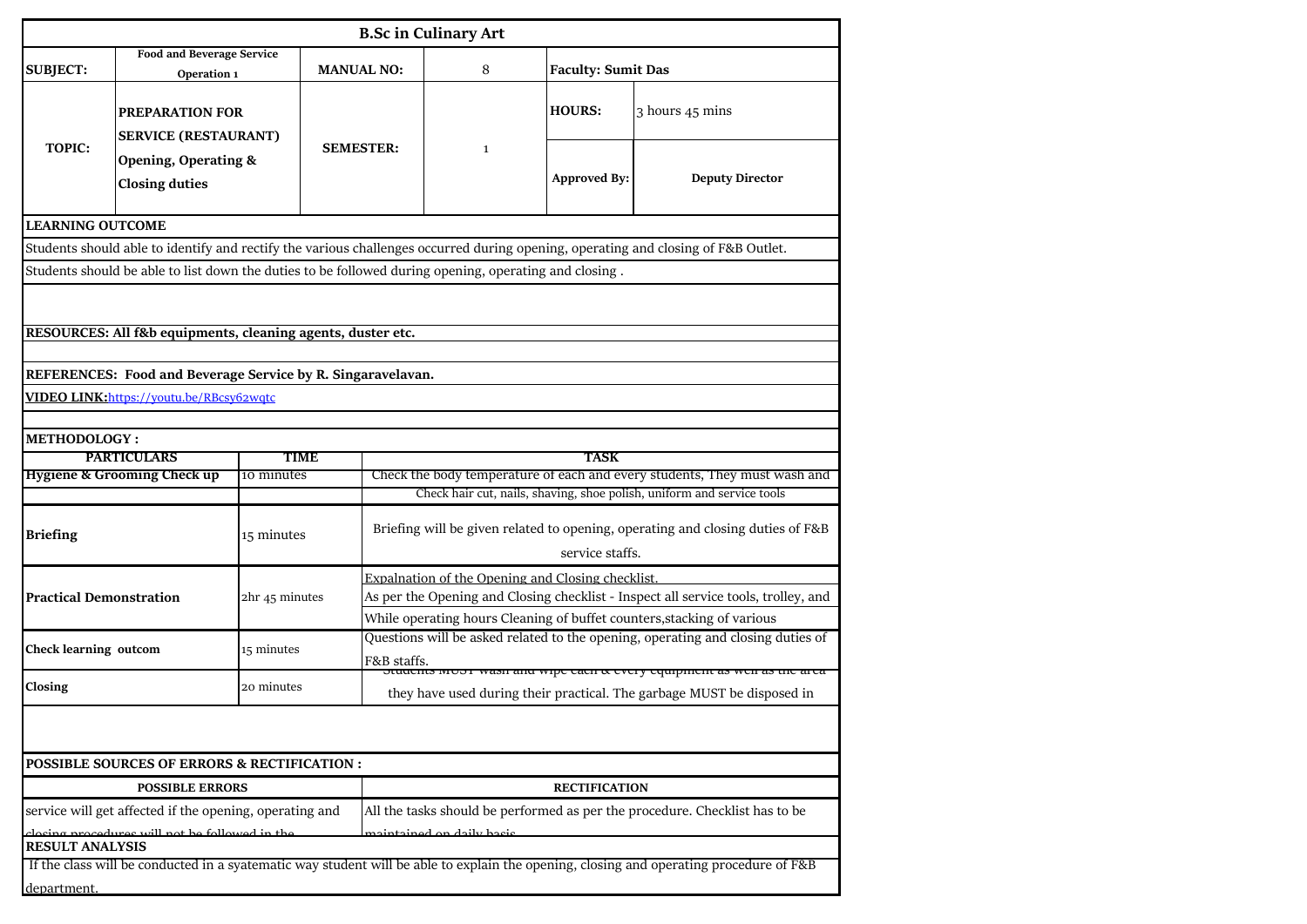|                                | <b>B.Sc in Culinary Art</b>                                                                              |                |                   |                                                                                                       |                           |                                                                                                                                        |  |  |  |  |  |
|--------------------------------|----------------------------------------------------------------------------------------------------------|----------------|-------------------|-------------------------------------------------------------------------------------------------------|---------------------------|----------------------------------------------------------------------------------------------------------------------------------------|--|--|--|--|--|
| <b>SUBJECT:</b>                | <b>Food and Beverage Service</b>                                                                         |                | <b>MANUAL NO:</b> | 8                                                                                                     | <b>Faculty: Sumit Das</b> |                                                                                                                                        |  |  |  |  |  |
|                                | Operation 1                                                                                              |                |                   |                                                                                                       |                           |                                                                                                                                        |  |  |  |  |  |
|                                | <b>PREPARATION FOR</b>                                                                                   |                |                   |                                                                                                       | <b>HOURS:</b>             | 3 hours 45 mins                                                                                                                        |  |  |  |  |  |
| <b>TOPIC:</b>                  | <b>SERVICE (RESTAURANT)</b>                                                                              |                | <b>SEMESTER:</b>  | $\mathbf{1}$                                                                                          |                           |                                                                                                                                        |  |  |  |  |  |
|                                | <b>Opening, Operating &amp;</b>                                                                          |                |                   |                                                                                                       |                           |                                                                                                                                        |  |  |  |  |  |
|                                | <b>Closing duties</b>                                                                                    |                |                   |                                                                                                       | <b>Approved By:</b>       | <b>Deputy Director</b>                                                                                                                 |  |  |  |  |  |
| <b>LEARNING OUTCOME</b>        |                                                                                                          |                |                   |                                                                                                       |                           |                                                                                                                                        |  |  |  |  |  |
|                                |                                                                                                          |                |                   |                                                                                                       |                           | Students should able to identify and rectify the various challenges occurred during opening, operating and closing of F&B Outlet.      |  |  |  |  |  |
|                                |                                                                                                          |                |                   | Students should be able to list down the duties to be followed during opening, operating and closing. |                           |                                                                                                                                        |  |  |  |  |  |
|                                |                                                                                                          |                |                   |                                                                                                       |                           |                                                                                                                                        |  |  |  |  |  |
|                                | RESOURCES: All f&b equipments, cleaning agents, duster etc.                                              |                |                   |                                                                                                       |                           |                                                                                                                                        |  |  |  |  |  |
|                                |                                                                                                          |                |                   |                                                                                                       |                           |                                                                                                                                        |  |  |  |  |  |
|                                | REFERENCES: Food and Beverage Service by R. Singaravelavan.                                              |                |                   |                                                                                                       |                           |                                                                                                                                        |  |  |  |  |  |
|                                | VIDEO LINK:https://youtu.be/RBcsy62wqtc                                                                  |                |                   |                                                                                                       |                           |                                                                                                                                        |  |  |  |  |  |
|                                |                                                                                                          |                |                   |                                                                                                       |                           |                                                                                                                                        |  |  |  |  |  |
| <b>METHODOLOGY:</b>            | <b>PARTICULARS</b>                                                                                       | TIME           |                   |                                                                                                       | TASK                      |                                                                                                                                        |  |  |  |  |  |
|                                | <b>Hygiene &amp; Grooming Check up</b>                                                                   | 10 minutes     |                   |                                                                                                       |                           | Check the body temperature of each and every students, They must wash and                                                              |  |  |  |  |  |
|                                |                                                                                                          |                |                   |                                                                                                       |                           | Check hair cut, nails, shaving, shoe polish, uniform and service tools                                                                 |  |  |  |  |  |
| <b>Briefing</b>                |                                                                                                          | 15 minutes     |                   | Briefing will be given related to opening, operating and closing duties of F&B<br>service staffs.     |                           |                                                                                                                                        |  |  |  |  |  |
|                                |                                                                                                          |                |                   | Expalnation of the Opening and Closing checklist                                                      |                           |                                                                                                                                        |  |  |  |  |  |
| <b>Practical Demonstration</b> |                                                                                                          | 2hr 45 minutes |                   | As per the Opening and Closing checklist - Inspect all service tools, trolley, and                    |                           |                                                                                                                                        |  |  |  |  |  |
|                                |                                                                                                          |                |                   | While operating hours Cleaning of buffet counters, stacking of various                                |                           |                                                                                                                                        |  |  |  |  |  |
| <b>Check learning outcom</b>   |                                                                                                          | 15 minutes     |                   | Questions will be asked related to the opening, operating and closing duties of                       |                           |                                                                                                                                        |  |  |  |  |  |
|                                |                                                                                                          |                |                   | F&B staffs.<br>tuachts moor wash and wipe each & every equipment as wen as the area                   |                           |                                                                                                                                        |  |  |  |  |  |
| Closing                        |                                                                                                          | 20 minutes     |                   |                                                                                                       |                           | they have used during their practical. The garbage MUST be disposed in                                                                 |  |  |  |  |  |
|                                |                                                                                                          |                |                   |                                                                                                       |                           |                                                                                                                                        |  |  |  |  |  |
|                                |                                                                                                          |                |                   |                                                                                                       |                           |                                                                                                                                        |  |  |  |  |  |
|                                | <b>POSSIBLE SOURCES OF ERRORS &amp; RECTIFICATION:</b>                                                   |                |                   |                                                                                                       |                           |                                                                                                                                        |  |  |  |  |  |
|                                | <b>POSSIBLE ERRORS</b>                                                                                   |                |                   |                                                                                                       | <b>RECTIFICATION</b>      |                                                                                                                                        |  |  |  |  |  |
|                                | service will get affected if the opening, operating and<br>locing procedures will not be followed in the |                |                   | aintained an daily bacic                                                                              |                           | All the tasks should be performed as per the procedure. Checklist has to be                                                            |  |  |  |  |  |
| <b>RESULT ANALYSIS</b>         |                                                                                                          |                |                   |                                                                                                       |                           |                                                                                                                                        |  |  |  |  |  |
|                                |                                                                                                          |                |                   |                                                                                                       |                           | If the class will be conducted in a syatematic way student will be able to explain the opening, closing and operating procedure of F&B |  |  |  |  |  |
| department.                    |                                                                                                          |                |                   |                                                                                                       |                           |                                                                                                                                        |  |  |  |  |  |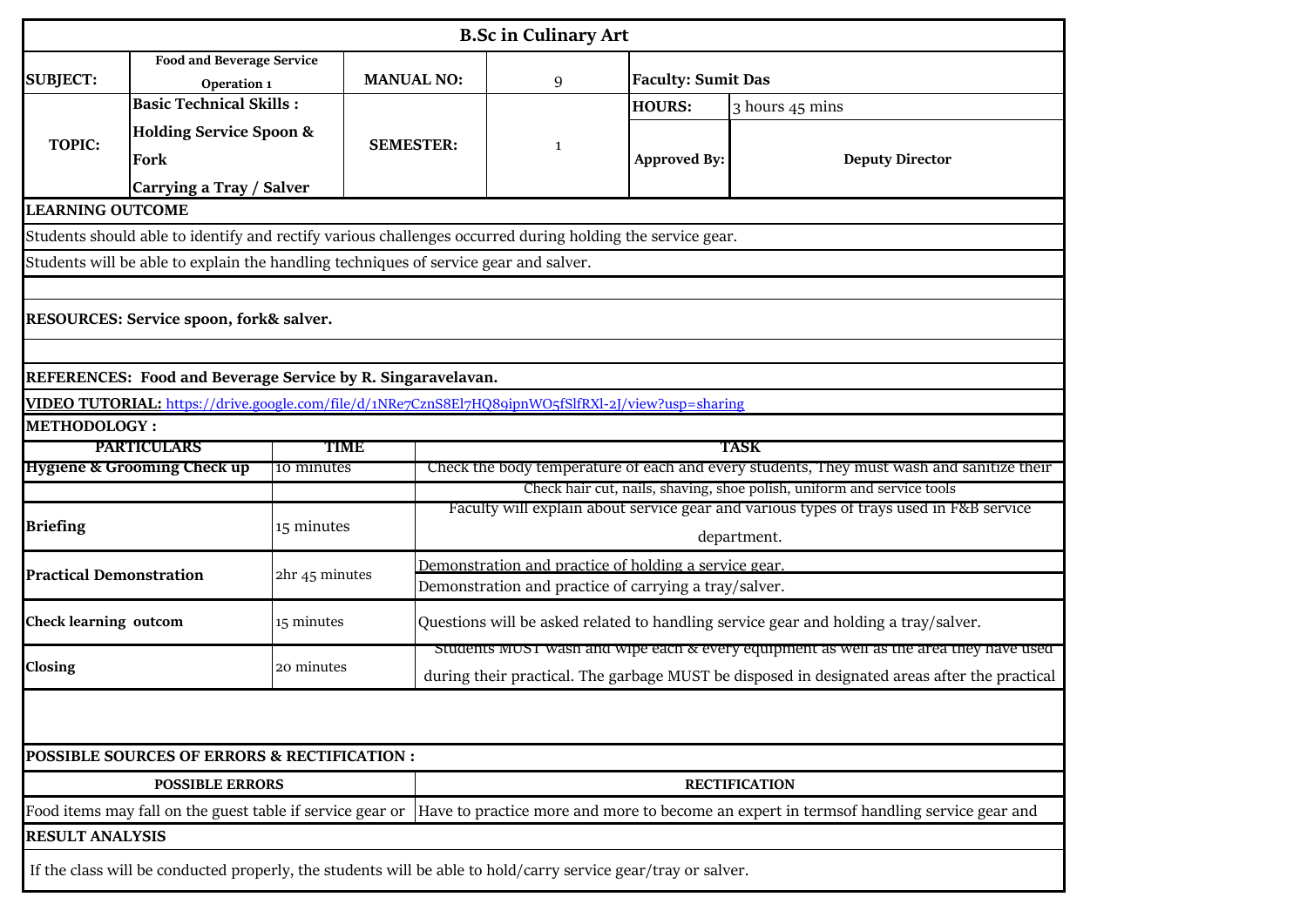|                                   |                                                                                                               |                |                   |                                                                                              | <b>B.Sc in Culinary Art</b> |                           |                      |                                                                                                                                                                    |  |  |
|-----------------------------------|---------------------------------------------------------------------------------------------------------------|----------------|-------------------|----------------------------------------------------------------------------------------------|-----------------------------|---------------------------|----------------------|--------------------------------------------------------------------------------------------------------------------------------------------------------------------|--|--|
| <b>SUBJECT:</b>                   | <b>Food and Beverage Service</b><br>Operation 1                                                               |                | <b>MANUAL NO:</b> |                                                                                              | 9                           | <b>Faculty: Sumit Das</b> |                      |                                                                                                                                                                    |  |  |
|                                   | <b>Basic Technical Skills:</b>                                                                                |                |                   |                                                                                              |                             | <b>HOURS:</b>             |                      | 3 hours 45 mins                                                                                                                                                    |  |  |
| <b>TOPIC:</b>                     | <b>Holding Service Spoon &amp;</b><br>Fork                                                                    |                | <b>SEMESTER:</b>  |                                                                                              | $\mathbf{1}$                | <b>Approved By:</b>       |                      | <b>Deputy Director</b>                                                                                                                                             |  |  |
|                                   | Carrying a Tray / Salver                                                                                      |                |                   |                                                                                              |                             |                           |                      |                                                                                                                                                                    |  |  |
| <b>LEARNING OUTCOME</b>           |                                                                                                               |                |                   |                                                                                              |                             |                           |                      |                                                                                                                                                                    |  |  |
|                                   | Students should able to identify and rectify various challenges occurred during holding the service gear.     |                |                   |                                                                                              |                             |                           |                      |                                                                                                                                                                    |  |  |
|                                   | Students will be able to explain the handling techniques of service gear and salver.                          |                |                   |                                                                                              |                             |                           |                      |                                                                                                                                                                    |  |  |
|                                   |                                                                                                               |                |                   |                                                                                              |                             |                           |                      |                                                                                                                                                                    |  |  |
|                                   | RESOURCES: Service spoon, fork& salver.                                                                       |                |                   |                                                                                              |                             |                           |                      |                                                                                                                                                                    |  |  |
|                                   |                                                                                                               |                |                   |                                                                                              |                             |                           |                      |                                                                                                                                                                    |  |  |
|                                   | REFERENCES: Food and Beverage Service by R. Singaravelavan.                                                   |                |                   |                                                                                              |                             |                           |                      |                                                                                                                                                                    |  |  |
|                                   | VIDEO TUTORIAL: https://drive.google.com/file/d/1NRe7CznS8El7HQ89ipnWO5fSlfRXl-2J/view?usp=sharing            |                |                   |                                                                                              |                             |                           |                      |                                                                                                                                                                    |  |  |
| <b>METHODOLOGY:</b>               |                                                                                                               |                |                   |                                                                                              |                             |                           |                      |                                                                                                                                                                    |  |  |
| <b>PARTICULARS</b><br><b>TIME</b> |                                                                                                               |                |                   |                                                                                              |                             |                           | <b>TASK</b>          |                                                                                                                                                                    |  |  |
|                                   | <b>Hygiene &amp; Grooming Check up</b>                                                                        | 10 minutes     |                   |                                                                                              |                             |                           |                      | Check the body temperature of each and every students, They must wash and sanitize their<br>Check hair cut, nails, shaving, shoe polish, uniform and service tools |  |  |
|                                   |                                                                                                               |                |                   | Faculty will explain about service gear and various types of trays used in F&B service       |                             |                           |                      |                                                                                                                                                                    |  |  |
| <b>Briefing</b>                   |                                                                                                               | 15 minutes     |                   | department.                                                                                  |                             |                           |                      |                                                                                                                                                                    |  |  |
| <b>Practical Demonstration</b>    |                                                                                                               | 2hr 45 minutes |                   | Demonstration and practice of holding a service gear                                         |                             |                           |                      |                                                                                                                                                                    |  |  |
|                                   |                                                                                                               |                |                   | Demonstration and practice of carrying a tray/salver.                                        |                             |                           |                      |                                                                                                                                                                    |  |  |
| <b>Check learning outcom</b>      |                                                                                                               | 15 minutes     |                   |                                                                                              |                             |                           |                      | Questions will be asked related to handling service gear and holding a tray/salver.                                                                                |  |  |
|                                   |                                                                                                               |                |                   |                                                                                              |                             |                           |                      | students $MUS1$ wash and wipe each $\alpha$ every equipment as wen as the area they have used                                                                      |  |  |
| Closing                           |                                                                                                               | 20 minutes     |                   | during their practical. The garbage MUST be disposed in designated areas after the practical |                             |                           |                      |                                                                                                                                                                    |  |  |
|                                   |                                                                                                               |                |                   |                                                                                              |                             |                           |                      |                                                                                                                                                                    |  |  |
|                                   | <b>POSSIBLE SOURCES OF ERRORS &amp; RECTIFICATION :</b>                                                       |                |                   |                                                                                              |                             |                           |                      |                                                                                                                                                                    |  |  |
|                                   | <b>POSSIBLE ERRORS</b>                                                                                        |                |                   |                                                                                              |                             |                           | <b>RECTIFICATION</b> |                                                                                                                                                                    |  |  |
|                                   |                                                                                                               |                |                   |                                                                                              |                             |                           |                      | Food items may fall on the guest table if service gear or Have to practice more and more to become an expert in termsof handling service gear and                  |  |  |
| <b>RESULT ANALYSIS</b>            |                                                                                                               |                |                   |                                                                                              |                             |                           |                      |                                                                                                                                                                    |  |  |
|                                   | If the class will be conducted properly, the students will be able to hold/carry service gear/tray or salver. |                |                   |                                                                                              |                             |                           |                      |                                                                                                                                                                    |  |  |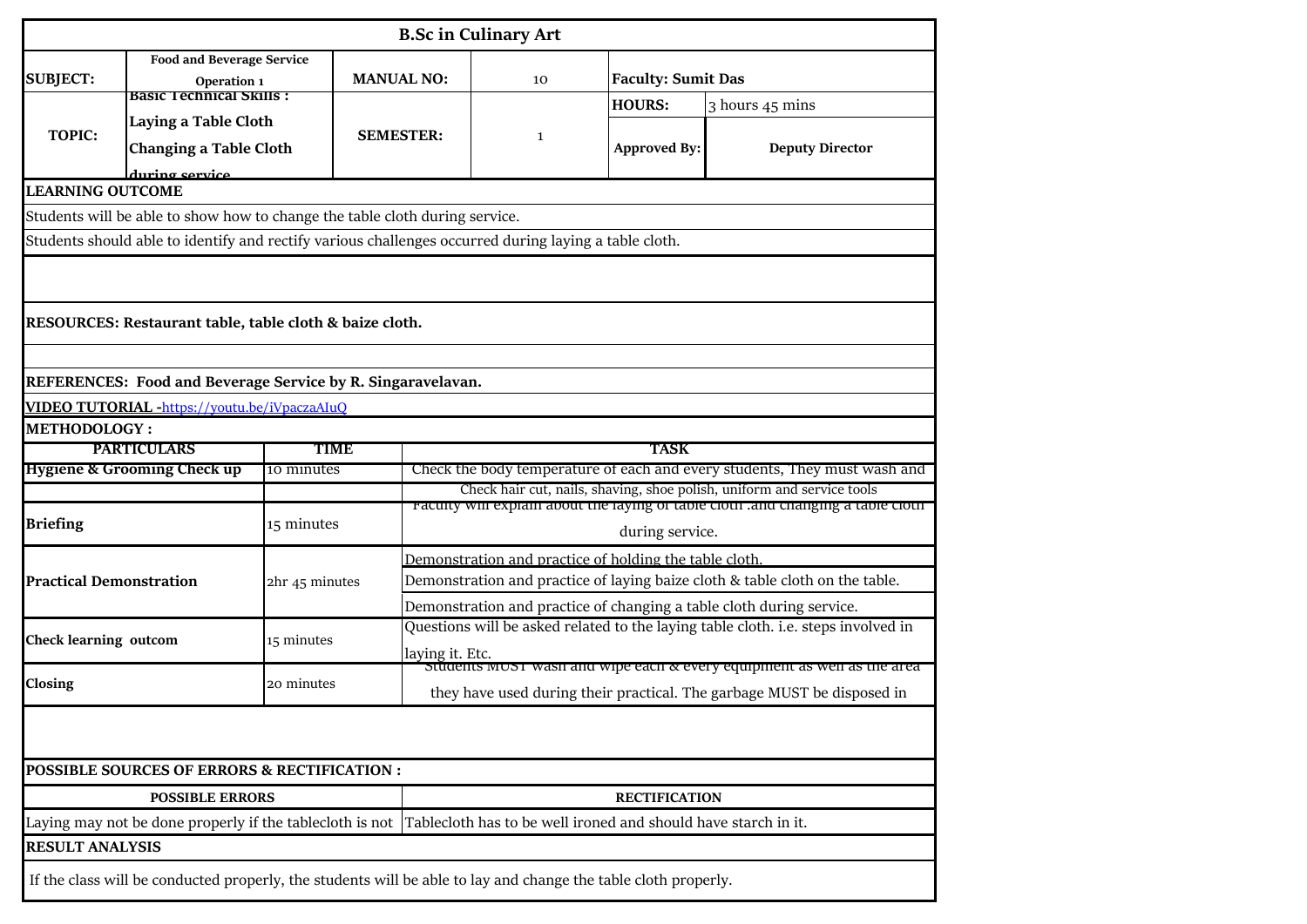|                                | <b>B.Sc in Culinary Art</b>                                                                                    |                    |                   |                                                                                                                                                     |                           |                                                                                  |  |  |  |  |  |
|--------------------------------|----------------------------------------------------------------------------------------------------------------|--------------------|-------------------|-----------------------------------------------------------------------------------------------------------------------------------------------------|---------------------------|----------------------------------------------------------------------------------|--|--|--|--|--|
| <b>SUBJECT:</b>                | <b>Food and Beverage Service</b><br>Operation 1                                                                |                    | <b>MANUAL NO:</b> | 10                                                                                                                                                  | <b>Faculty: Sumit Das</b> |                                                                                  |  |  |  |  |  |
|                                | basic Technical Skills :                                                                                       |                    |                   |                                                                                                                                                     | <b>HOURS:</b>             | 3 hours 45 mins                                                                  |  |  |  |  |  |
| <b>TOPIC:</b>                  | Laying a Table Cloth<br><b>Changing a Table Cloth</b>                                                          |                    | <b>SEMESTER:</b>  | $\mathbf{1}$                                                                                                                                        | <b>Approved By:</b>       | <b>Deputy Director</b>                                                           |  |  |  |  |  |
| <b>LEARNING OUTCOME</b>        | during service                                                                                                 |                    |                   |                                                                                                                                                     |                           |                                                                                  |  |  |  |  |  |
|                                | Students will be able to show how to change the table cloth during service.                                    |                    |                   |                                                                                                                                                     |                           |                                                                                  |  |  |  |  |  |
|                                | Students should able to identify and rectify various challenges occurred during laying a table cloth.          |                    |                   |                                                                                                                                                     |                           |                                                                                  |  |  |  |  |  |
|                                |                                                                                                                |                    |                   |                                                                                                                                                     |                           |                                                                                  |  |  |  |  |  |
|                                | RESOURCES: Restaurant table, table cloth & baize cloth.                                                        |                    |                   |                                                                                                                                                     |                           |                                                                                  |  |  |  |  |  |
|                                |                                                                                                                |                    |                   |                                                                                                                                                     |                           |                                                                                  |  |  |  |  |  |
|                                | REFERENCES: Food and Beverage Service by R. Singaravelavan.                                                    |                    |                   |                                                                                                                                                     |                           |                                                                                  |  |  |  |  |  |
|                                | VIDEO TUTORIAL -https://youtu.be/iVpaczaAIuQ                                                                   |                    |                   |                                                                                                                                                     |                           |                                                                                  |  |  |  |  |  |
| <b>METHODOLOGY:</b>            |                                                                                                                |                    |                   |                                                                                                                                                     |                           |                                                                                  |  |  |  |  |  |
|                                | <b>PARTICULARS</b><br>Hygiene & Grooming Check up                                                              | TIME<br>10 minutes |                   |                                                                                                                                                     | <b>TASK</b>               |                                                                                  |  |  |  |  |  |
|                                |                                                                                                                |                    |                   | Check the body temperature of each and every students, They must wash and<br>Check hair cut, nails, shaving, shoe polish, uniform and service tools |                           |                                                                                  |  |  |  |  |  |
|                                |                                                                                                                |                    |                   |                                                                                                                                                     |                           | racuity will explain about the laying of table cloth ,and changing a table cloth |  |  |  |  |  |
| <b>Briefing</b>                |                                                                                                                | 15 minutes         |                   | during service.                                                                                                                                     |                           |                                                                                  |  |  |  |  |  |
|                                |                                                                                                                |                    |                   | Demonstration and practice of holding the table cloth.                                                                                              |                           |                                                                                  |  |  |  |  |  |
| <b>Practical Demonstration</b> |                                                                                                                | 2hr 45 minutes     |                   | Demonstration and practice of laying baize cloth & table cloth on the table.                                                                        |                           |                                                                                  |  |  |  |  |  |
|                                |                                                                                                                |                    |                   | Demonstration and practice of changing a table cloth during service.                                                                                |                           |                                                                                  |  |  |  |  |  |
| <b>Check learning outcom</b>   |                                                                                                                | 15 minutes         |                   | Questions will be asked related to the laying table cloth. i.e. steps involved in                                                                   |                           |                                                                                  |  |  |  |  |  |
|                                |                                                                                                                |                    |                   | laying it. Etc.<br>students must wasn and wipe each & every equipment as well as the area                                                           |                           |                                                                                  |  |  |  |  |  |
| Closing                        |                                                                                                                | 20 minutes         |                   |                                                                                                                                                     |                           | they have used during their practical. The garbage MUST be disposed in           |  |  |  |  |  |
|                                |                                                                                                                |                    |                   |                                                                                                                                                     |                           |                                                                                  |  |  |  |  |  |
|                                | POSSIBLE SOURCES OF ERRORS & RECTIFICATION :                                                                   |                    |                   |                                                                                                                                                     |                           |                                                                                  |  |  |  |  |  |
|                                | <b>POSSIBLE ERRORS</b>                                                                                         |                    |                   |                                                                                                                                                     | <b>RECTIFICATION</b>      |                                                                                  |  |  |  |  |  |
|                                |                                                                                                                |                    |                   | Laying may not be done properly if the tablecloth is not Tablecloth has to be well ironed and should have starch in it.                             |                           |                                                                                  |  |  |  |  |  |
| <b>RESULT ANALYSIS</b>         |                                                                                                                |                    |                   |                                                                                                                                                     |                           |                                                                                  |  |  |  |  |  |
|                                | If the class will be conducted properly, the students will be able to lay and change the table cloth properly. |                    |                   |                                                                                                                                                     |                           |                                                                                  |  |  |  |  |  |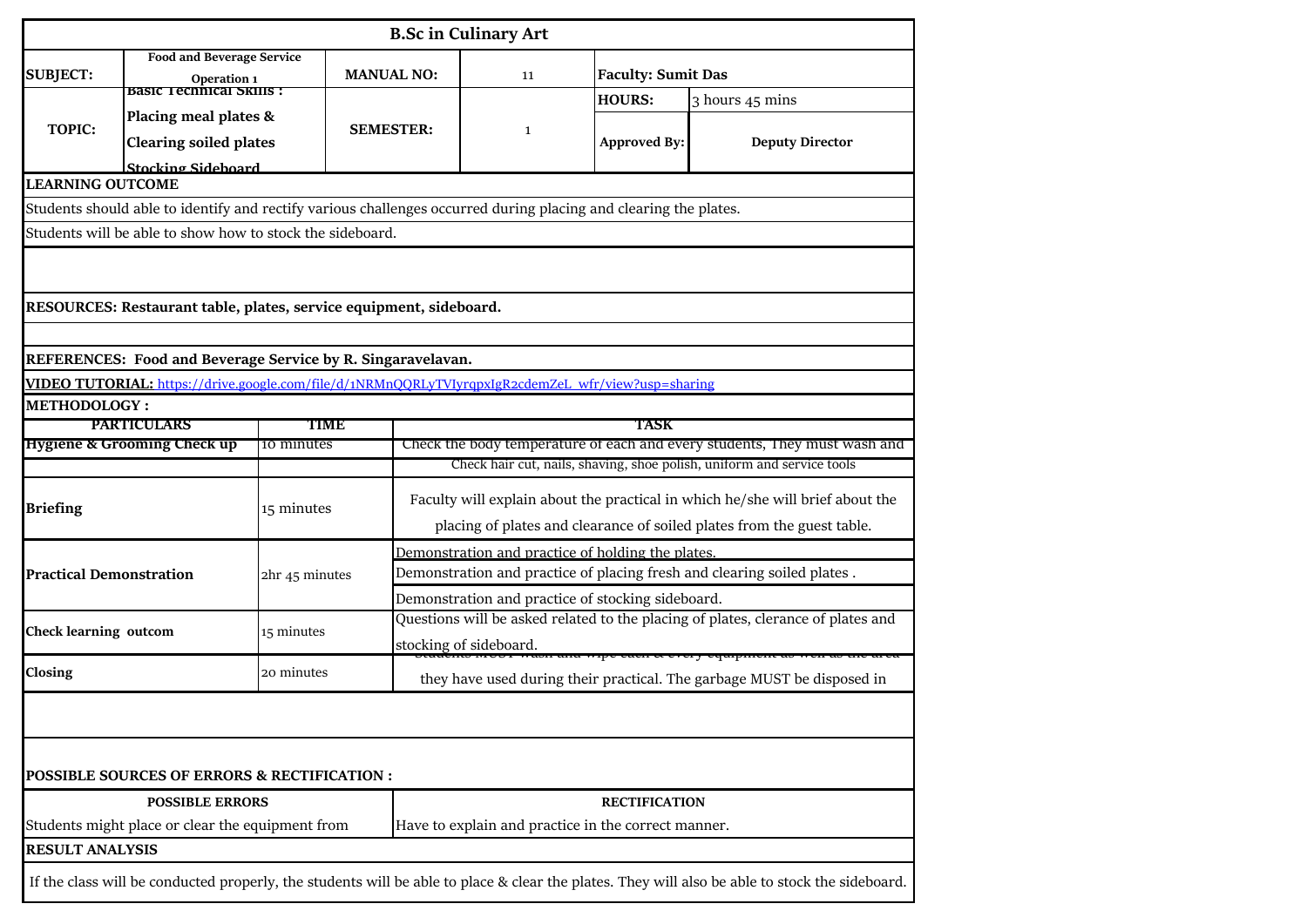|                                                  |                                                                                                    |                |             |                                                                                                                  | <b>B.Sc in Culinary Art</b>                                                                                                                         |                           |                                                                                                                                                |  |  |  |
|--------------------------------------------------|----------------------------------------------------------------------------------------------------|----------------|-------------|------------------------------------------------------------------------------------------------------------------|-----------------------------------------------------------------------------------------------------------------------------------------------------|---------------------------|------------------------------------------------------------------------------------------------------------------------------------------------|--|--|--|
| <b>SUBJECT:</b>                                  | <b>Food and Beverage Service</b><br>Operation 1                                                    |                |             | <b>MANUAL NO:</b>                                                                                                | 11                                                                                                                                                  | <b>Faculty: Sumit Das</b> |                                                                                                                                                |  |  |  |
|                                                  | Basic Tecnnical Skills :                                                                           |                |             |                                                                                                                  |                                                                                                                                                     | <b>HOURS:</b>             | 3 hours 45 mins                                                                                                                                |  |  |  |
|                                                  | Placing meal plates &                                                                              |                |             |                                                                                                                  |                                                                                                                                                     |                           |                                                                                                                                                |  |  |  |
|                                                  | <b>TOPIC:</b><br><b>Clearing soiled plates</b>                                                     |                |             | <b>SEMESTER:</b>                                                                                                 | $\mathbf{1}$                                                                                                                                        | <b>Approved By:</b>       | <b>Deputy Director</b>                                                                                                                         |  |  |  |
|                                                  | Stocking Sideboard                                                                                 |                |             |                                                                                                                  |                                                                                                                                                     |                           |                                                                                                                                                |  |  |  |
| <b>LEARNING OUTCOME</b>                          |                                                                                                    |                |             |                                                                                                                  |                                                                                                                                                     |                           |                                                                                                                                                |  |  |  |
|                                                  |                                                                                                    |                |             | Students should able to identify and rectify various challenges occurred during placing and clearing the plates. |                                                                                                                                                     |                           |                                                                                                                                                |  |  |  |
|                                                  | Students will be able to show how to stock the sideboard.                                          |                |             |                                                                                                                  |                                                                                                                                                     |                           |                                                                                                                                                |  |  |  |
|                                                  |                                                                                                    |                |             |                                                                                                                  |                                                                                                                                                     |                           |                                                                                                                                                |  |  |  |
|                                                  | RESOURCES: Restaurant table, plates, service equipment, sideboard.                                 |                |             |                                                                                                                  |                                                                                                                                                     |                           |                                                                                                                                                |  |  |  |
|                                                  |                                                                                                    |                |             |                                                                                                                  |                                                                                                                                                     |                           |                                                                                                                                                |  |  |  |
|                                                  | REFERENCES: Food and Beverage Service by R. Singaravelavan.                                        |                |             |                                                                                                                  |                                                                                                                                                     |                           |                                                                                                                                                |  |  |  |
|                                                  | VIDEO TUTORIAL: https://drive.google.com/file/d/1NRMnQQRLyTVIyrqpxIgR2cdemZeL_wfr/view?usp=sharing |                |             |                                                                                                                  |                                                                                                                                                     |                           |                                                                                                                                                |  |  |  |
| <b>METHODOLOGY:</b>                              |                                                                                                    |                |             |                                                                                                                  |                                                                                                                                                     |                           |                                                                                                                                                |  |  |  |
|                                                  | <b>PARTICULARS</b>                                                                                 |                | <b>TIME</b> |                                                                                                                  | <b>TASK</b>                                                                                                                                         |                           |                                                                                                                                                |  |  |  |
|                                                  | <b>Hygiene &amp; Grooming Check up</b>                                                             | 10 minutes     |             |                                                                                                                  | Check the body temperature of each and every students, They must wash and<br>Check hair cut, nails, shaving, shoe polish, uniform and service tools |                           |                                                                                                                                                |  |  |  |
|                                                  |                                                                                                    |                |             |                                                                                                                  |                                                                                                                                                     |                           |                                                                                                                                                |  |  |  |
| <b>Briefing</b>                                  |                                                                                                    | 15 minutes     |             | Faculty will explain about the practical in which he/she will brief about the                                    |                                                                                                                                                     |                           |                                                                                                                                                |  |  |  |
|                                                  |                                                                                                    |                |             | placing of plates and clearance of soiled plates from the guest table.                                           |                                                                                                                                                     |                           |                                                                                                                                                |  |  |  |
|                                                  |                                                                                                    | 2hr 45 minutes |             | Demonstration and practice of holding the plates                                                                 |                                                                                                                                                     |                           |                                                                                                                                                |  |  |  |
| <b>Practical Demonstration</b>                   |                                                                                                    |                |             | Demonstration and practice of placing fresh and clearing soiled plates.                                          |                                                                                                                                                     |                           |                                                                                                                                                |  |  |  |
|                                                  |                                                                                                    |                |             | Demonstration and practice of stocking sideboard.                                                                |                                                                                                                                                     |                           |                                                                                                                                                |  |  |  |
|                                                  |                                                                                                    |                |             | Questions will be asked related to the placing of plates, clerance of plates and                                 |                                                                                                                                                     |                           |                                                                                                                                                |  |  |  |
| <b>Check learning outcom</b>                     |                                                                                                    | 15 minutes     |             | stocking of sideboard.<br>anu vripe eaen ee every equipment a                                                    |                                                                                                                                                     |                           |                                                                                                                                                |  |  |  |
| Closing                                          |                                                                                                    | 20 minutes     |             | they have used during their practical. The garbage MUST be disposed in                                           |                                                                                                                                                     |                           |                                                                                                                                                |  |  |  |
|                                                  |                                                                                                    |                |             |                                                                                                                  |                                                                                                                                                     |                           |                                                                                                                                                |  |  |  |
|                                                  |                                                                                                    |                |             |                                                                                                                  |                                                                                                                                                     |                           |                                                                                                                                                |  |  |  |
|                                                  | POSSIBLE SOURCES OF ERRORS & RECTIFICATION :                                                       |                |             |                                                                                                                  |                                                                                                                                                     |                           |                                                                                                                                                |  |  |  |
|                                                  | <b>POSSIBLE ERRORS</b>                                                                             |                |             | <b>RECTIFICATION</b>                                                                                             |                                                                                                                                                     |                           |                                                                                                                                                |  |  |  |
| Students might place or clear the equipment from |                                                                                                    |                |             | Have to explain and practice in the correct manner.                                                              |                                                                                                                                                     |                           |                                                                                                                                                |  |  |  |
| <b>RESULT ANALYSIS</b>                           |                                                                                                    |                |             |                                                                                                                  |                                                                                                                                                     |                           |                                                                                                                                                |  |  |  |
|                                                  |                                                                                                    |                |             |                                                                                                                  |                                                                                                                                                     |                           | If the class will be conducted properly, the students will be able to place & clear the plates. They will also be able to stock the sideboard. |  |  |  |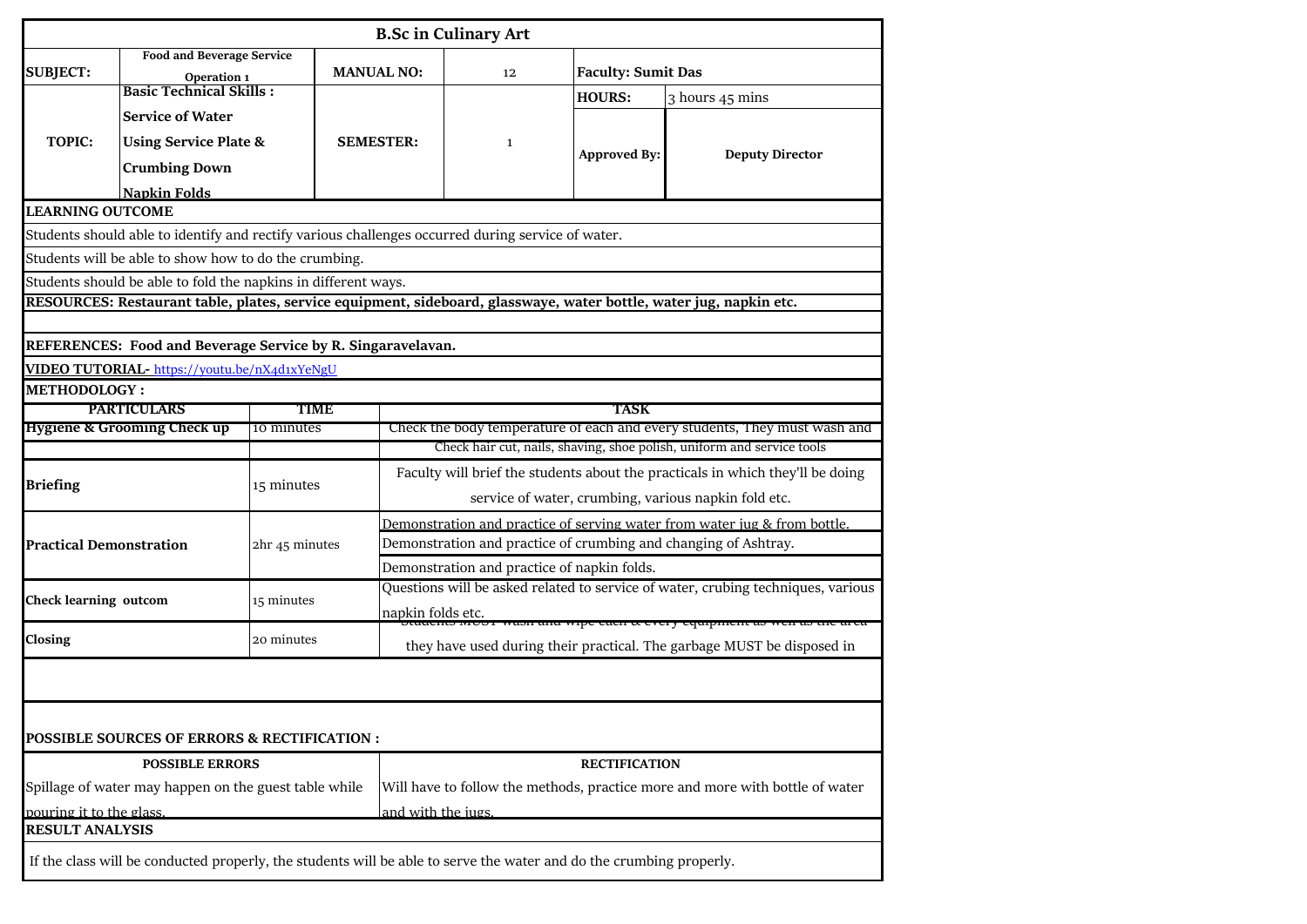|                                                       |                                                                                                                     |                |                   |                                                                                                                                                     | <b>B.Sc in Culinary Art</b> |                           |                                                                                                                    |  |  |  |
|-------------------------------------------------------|---------------------------------------------------------------------------------------------------------------------|----------------|-------------------|-----------------------------------------------------------------------------------------------------------------------------------------------------|-----------------------------|---------------------------|--------------------------------------------------------------------------------------------------------------------|--|--|--|
| <b>Food and Beverage Service</b><br><b>SUBJECT:</b>   |                                                                                                                     |                | <b>MANUAL NO:</b> |                                                                                                                                                     | 12                          | <b>Faculty: Sumit Das</b> |                                                                                                                    |  |  |  |
|                                                       | Operation 1<br><b>Basic Technical Skills:</b>                                                                       |                |                   |                                                                                                                                                     |                             | <b>HOURS:</b>             | 3 hours 45 mins                                                                                                    |  |  |  |
|                                                       | <b>Service of Water</b>                                                                                             |                |                   |                                                                                                                                                     |                             |                           |                                                                                                                    |  |  |  |
| <b>TOPIC:</b>                                         |                                                                                                                     |                | <b>SEMESTER:</b>  |                                                                                                                                                     | $\mathbf{1}$                |                           |                                                                                                                    |  |  |  |
|                                                       | <b>Using Service Plate &amp;</b>                                                                                    |                |                   |                                                                                                                                                     |                             | <b>Approved By:</b>       | <b>Deputy Director</b>                                                                                             |  |  |  |
|                                                       | <b>Crumbing Down</b>                                                                                                |                |                   |                                                                                                                                                     |                             |                           |                                                                                                                    |  |  |  |
|                                                       | <b>Napkin Folds</b>                                                                                                 |                |                   |                                                                                                                                                     |                             |                           |                                                                                                                    |  |  |  |
| <b>LEARNING OUTCOME</b>                               |                                                                                                                     |                |                   |                                                                                                                                                     |                             |                           |                                                                                                                    |  |  |  |
|                                                       | Students should able to identify and rectify various challenges occurred during service of water.                   |                |                   |                                                                                                                                                     |                             |                           |                                                                                                                    |  |  |  |
|                                                       | Students will be able to show how to do the crumbing.                                                               |                |                   |                                                                                                                                                     |                             |                           |                                                                                                                    |  |  |  |
|                                                       | Students should be able to fold the napkins in different ways.                                                      |                |                   |                                                                                                                                                     |                             |                           |                                                                                                                    |  |  |  |
|                                                       |                                                                                                                     |                |                   |                                                                                                                                                     |                             |                           | RESOURCES: Restaurant table, plates, service equipment, sideboard, glasswaye, water bottle, water jug, napkin etc. |  |  |  |
|                                                       |                                                                                                                     |                |                   |                                                                                                                                                     |                             |                           |                                                                                                                    |  |  |  |
|                                                       | REFERENCES: Food and Beverage Service by R. Singaravelavan.                                                         |                |                   |                                                                                                                                                     |                             |                           |                                                                                                                    |  |  |  |
|                                                       | VIDEO TUTORIAL- https://youtu.be/nX4d1xYeNgU                                                                        |                |                   |                                                                                                                                                     |                             |                           |                                                                                                                    |  |  |  |
| <b>METHODOLOGY:</b>                                   |                                                                                                                     |                |                   |                                                                                                                                                     |                             |                           |                                                                                                                    |  |  |  |
|                                                       | <b>PARTICULARS</b>                                                                                                  | <b>TIME</b>    |                   | <b>TASK</b>                                                                                                                                         |                             |                           |                                                                                                                    |  |  |  |
|                                                       | <b>Hygiene &amp; Grooming Check up</b>                                                                              | 10 minutes     |                   | Check the body temperature of each and every students, They must wash and<br>Check hair cut, nails, shaving, shoe polish, uniform and service tools |                             |                           |                                                                                                                    |  |  |  |
|                                                       |                                                                                                                     |                |                   |                                                                                                                                                     |                             |                           |                                                                                                                    |  |  |  |
| <b>Briefing</b>                                       |                                                                                                                     | 15 minutes     |                   | Faculty will brief the students about the practicals in which they'll be doing                                                                      |                             |                           |                                                                                                                    |  |  |  |
|                                                       |                                                                                                                     |                |                   | service of water, crumbing, various napkin fold etc.                                                                                                |                             |                           |                                                                                                                    |  |  |  |
|                                                       |                                                                                                                     |                |                   | Demonstration and practice of serving water from water jug & from bottle.                                                                           |                             |                           |                                                                                                                    |  |  |  |
| <b>Practical Demonstration</b>                        |                                                                                                                     | 2hr 45 minutes |                   | Demonstration and practice of crumbing and changing of Ashtray.                                                                                     |                             |                           |                                                                                                                    |  |  |  |
|                                                       |                                                                                                                     |                |                   | Demonstration and practice of napkin folds.                                                                                                         |                             |                           |                                                                                                                    |  |  |  |
| <b>Check learning outcom</b>                          |                                                                                                                     | 15 minutes     |                   | Questions will be asked related to service of water, crubing techniques, various                                                                    |                             |                           |                                                                                                                    |  |  |  |
|                                                       |                                                                                                                     |                |                   | napkin folds etc.<br>vipe each et every equipment ao                                                                                                |                             |                           |                                                                                                                    |  |  |  |
| Closing<br>20 minutes                                 |                                                                                                                     |                |                   | they have used during their practical. The garbage MUST be disposed in                                                                              |                             |                           |                                                                                                                    |  |  |  |
|                                                       |                                                                                                                     |                |                   |                                                                                                                                                     |                             |                           |                                                                                                                    |  |  |  |
|                                                       |                                                                                                                     |                |                   |                                                                                                                                                     |                             |                           |                                                                                                                    |  |  |  |
|                                                       |                                                                                                                     |                |                   |                                                                                                                                                     |                             |                           |                                                                                                                    |  |  |  |
|                                                       | POSSIBLE SOURCES OF ERRORS & RECTIFICATION :                                                                        |                |                   |                                                                                                                                                     |                             |                           |                                                                                                                    |  |  |  |
| <b>POSSIBLE ERRORS</b>                                |                                                                                                                     |                |                   | <b>RECTIFICATION</b>                                                                                                                                |                             |                           |                                                                                                                    |  |  |  |
| Spillage of water may happen on the guest table while |                                                                                                                     |                |                   | Will have to follow the methods, practice more and more with bottle of water                                                                        |                             |                           |                                                                                                                    |  |  |  |
| pouring it to the glass.                              |                                                                                                                     |                |                   | and with the iugs                                                                                                                                   |                             |                           |                                                                                                                    |  |  |  |
| <b>RESULT ANALYSIS</b>                                |                                                                                                                     |                |                   |                                                                                                                                                     |                             |                           |                                                                                                                    |  |  |  |
|                                                       | If the class will be conducted properly, the students will be able to serve the water and do the crumbing properly. |                |                   |                                                                                                                                                     |                             |                           |                                                                                                                    |  |  |  |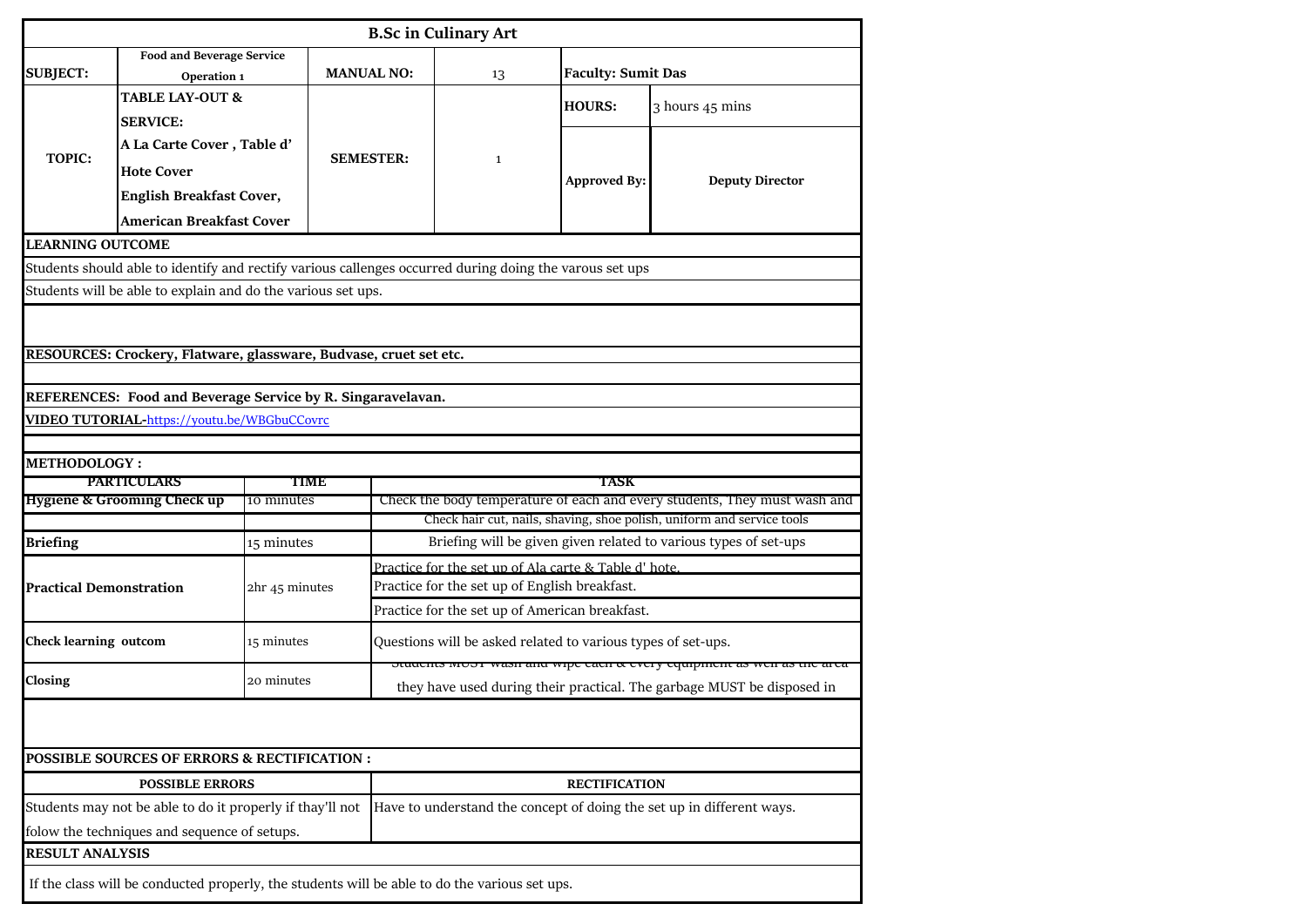| <b>B.Sc in Culinary Art</b>                            |                                                                                                         |                |                   |                                                              |                           |                                                                           |  |  |  |  |  |
|--------------------------------------------------------|---------------------------------------------------------------------------------------------------------|----------------|-------------------|--------------------------------------------------------------|---------------------------|---------------------------------------------------------------------------|--|--|--|--|--|
|                                                        | <b>Food and Beverage Service</b>                                                                        |                |                   |                                                              |                           |                                                                           |  |  |  |  |  |
| <b>SUBJECT:</b>                                        | Operation 1                                                                                             |                | <b>MANUAL NO:</b> | 13                                                           | <b>Faculty: Sumit Das</b> |                                                                           |  |  |  |  |  |
|                                                        | <b>TABLE LAY-OUT &amp;</b>                                                                              |                |                   |                                                              | <b>HOURS:</b>             | 3 hours 45 mins                                                           |  |  |  |  |  |
|                                                        | <b>SERVICE:</b>                                                                                         |                |                   |                                                              |                           |                                                                           |  |  |  |  |  |
| <b>TOPIC:</b>                                          | A La Carte Cover, Table d'                                                                              |                |                   |                                                              |                           |                                                                           |  |  |  |  |  |
|                                                        | <b>Hote Cover</b>                                                                                       |                | <b>SEMESTER:</b>  | $\mathbf{1}$                                                 | <b>Approved By:</b>       | <b>Deputy Director</b>                                                    |  |  |  |  |  |
|                                                        | <b>English Breakfast Cover,</b>                                                                         |                |                   |                                                              |                           |                                                                           |  |  |  |  |  |
|                                                        | <b>American Breakfast Cover</b>                                                                         |                |                   |                                                              |                           |                                                                           |  |  |  |  |  |
| <b>LEARNING OUTCOME</b>                                |                                                                                                         |                |                   |                                                              |                           |                                                                           |  |  |  |  |  |
|                                                        | Students should able to identify and rectify various callenges occurred during doing the varous set ups |                |                   |                                                              |                           |                                                                           |  |  |  |  |  |
|                                                        | Students will be able to explain and do the various set ups.                                            |                |                   |                                                              |                           |                                                                           |  |  |  |  |  |
|                                                        |                                                                                                         |                |                   |                                                              |                           |                                                                           |  |  |  |  |  |
|                                                        |                                                                                                         |                |                   |                                                              |                           |                                                                           |  |  |  |  |  |
|                                                        | RESOURCES: Crockery, Flatware, glassware, Budvase, cruet set etc.                                       |                |                   |                                                              |                           |                                                                           |  |  |  |  |  |
|                                                        | REFERENCES: Food and Beverage Service by R. Singaravelavan.                                             |                |                   |                                                              |                           |                                                                           |  |  |  |  |  |
|                                                        | <b>VIDEO TUTORIAL-https://youtu.be/WBGbuCCovrc</b>                                                      |                |                   |                                                              |                           |                                                                           |  |  |  |  |  |
|                                                        |                                                                                                         |                |                   |                                                              |                           |                                                                           |  |  |  |  |  |
| <b>METHODOLOGY:</b>                                    |                                                                                                         |                |                   |                                                              |                           |                                                                           |  |  |  |  |  |
|                                                        | <b>PARTICULARS</b>                                                                                      | TIME           |                   |                                                              | TASK                      |                                                                           |  |  |  |  |  |
| <b>Hygiene &amp; Grooming Check up</b><br>10 minutes   |                                                                                                         |                |                   |                                                              |                           | Check the body temperature of each and every students, They must wash and |  |  |  |  |  |
|                                                        |                                                                                                         |                |                   |                                                              |                           | Check hair cut, nails, shaving, shoe polish, uniform and service tools    |  |  |  |  |  |
| <b>Briefing</b>                                        |                                                                                                         | 15 minutes     |                   |                                                              |                           | Briefing will be given given related to various types of set-ups          |  |  |  |  |  |
|                                                        |                                                                                                         |                |                   | Practice for the set up of Ala carte & Table d' hote.        |                           |                                                                           |  |  |  |  |  |
| <b>Practical Demonstration</b>                         |                                                                                                         | 2hr 45 minutes |                   | Practice for the set up of English breakfast.                |                           |                                                                           |  |  |  |  |  |
|                                                        |                                                                                                         |                |                   | Practice for the set up of American breakfast.               |                           |                                                                           |  |  |  |  |  |
| <b>Check learning outcom</b>                           |                                                                                                         | 15 minutes     |                   | Questions will be asked related to various types of set-ups. |                           |                                                                           |  |  |  |  |  |
|                                                        |                                                                                                         |                |                   | otaachto moor waan ana wipe each ee every equipment as v     |                           |                                                                           |  |  |  |  |  |
| Closing                                                |                                                                                                         | 20 minutes     |                   |                                                              |                           | they have used during their practical. The garbage MUST be disposed in    |  |  |  |  |  |
|                                                        |                                                                                                         |                |                   |                                                              |                           |                                                                           |  |  |  |  |  |
|                                                        |                                                                                                         |                |                   |                                                              |                           |                                                                           |  |  |  |  |  |
| <b>POSSIBLE SOURCES OF ERRORS &amp; RECTIFICATION:</b> |                                                                                                         |                |                   |                                                              |                           |                                                                           |  |  |  |  |  |
| <b>POSSIBLE ERRORS</b>                                 |                                                                                                         |                |                   | <b>RECTIFICATION</b>                                         |                           |                                                                           |  |  |  |  |  |
|                                                        | Students may not be able to do it properly if thay'll not                                               |                |                   |                                                              |                           | Have to understand the concept of doing the set up in different ways.     |  |  |  |  |  |
|                                                        | folow the techniques and sequence of setups.                                                            |                |                   |                                                              |                           |                                                                           |  |  |  |  |  |
|                                                        |                                                                                                         |                |                   |                                                              |                           |                                                                           |  |  |  |  |  |
| <b>RESULT ANALYSIS</b>                                 |                                                                                                         |                |                   |                                                              |                           |                                                                           |  |  |  |  |  |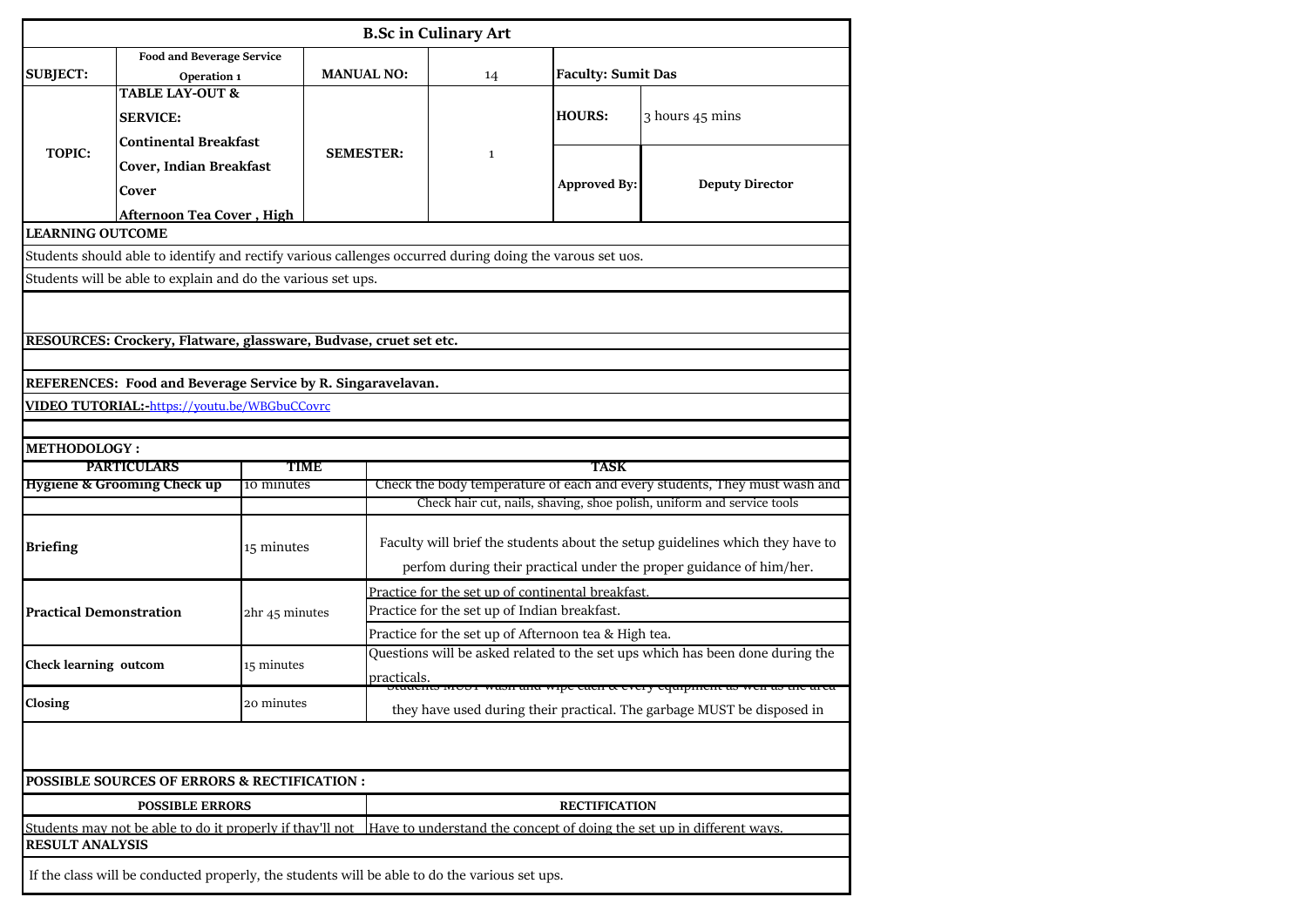| <b>B.Sc in Culinary Art</b>                          |                                                                                                                   |                |                                                                       |                                                                                                                                                     |              |                           |                        |  |  |  |
|------------------------------------------------------|-------------------------------------------------------------------------------------------------------------------|----------------|-----------------------------------------------------------------------|-----------------------------------------------------------------------------------------------------------------------------------------------------|--------------|---------------------------|------------------------|--|--|--|
| <b>SUBJECT:</b>                                      | Food and Beverage Service<br>Operation 1                                                                          |                | <b>MANUAL NO:</b>                                                     | 14                                                                                                                                                  |              | <b>Faculty: Sumit Das</b> |                        |  |  |  |
|                                                      | <b>TABLE LAY-OUT &amp;</b><br><b>SERVICE:</b><br><b>Continental Breakfast</b><br>Cover, Indian Breakfast<br>Cover |                |                                                                       |                                                                                                                                                     |              | <b>HOURS:</b>             | 3 hours 45 mins        |  |  |  |
| <b>TOPIC:</b>                                        |                                                                                                                   |                | <b>SEMESTER:</b>                                                      |                                                                                                                                                     | $\mathbf{1}$ | <b>Approved By:</b>       | <b>Deputy Director</b> |  |  |  |
|                                                      | <b>Afternoon Tea Cover, High</b>                                                                                  |                |                                                                       |                                                                                                                                                     |              |                           |                        |  |  |  |
| <b>LEARNING OUTCOME</b>                              |                                                                                                                   |                |                                                                       |                                                                                                                                                     |              |                           |                        |  |  |  |
|                                                      | Students should able to identify and rectify various callenges occurred during doing the varous set uos.          |                |                                                                       |                                                                                                                                                     |              |                           |                        |  |  |  |
|                                                      | Students will be able to explain and do the various set ups.                                                      |                |                                                                       |                                                                                                                                                     |              |                           |                        |  |  |  |
|                                                      |                                                                                                                   |                |                                                                       |                                                                                                                                                     |              |                           |                        |  |  |  |
|                                                      | RESOURCES: Crockery, Flatware, glassware, Budvase, cruet set etc.                                                 |                |                                                                       |                                                                                                                                                     |              |                           |                        |  |  |  |
|                                                      |                                                                                                                   |                |                                                                       |                                                                                                                                                     |              |                           |                        |  |  |  |
|                                                      | REFERENCES: Food and Beverage Service by R. Singaravelavan.                                                       |                |                                                                       |                                                                                                                                                     |              |                           |                        |  |  |  |
|                                                      | VIDEO TUTORIAL:-https://youtu.be/WBGbuCCovrc                                                                      |                |                                                                       |                                                                                                                                                     |              |                           |                        |  |  |  |
|                                                      |                                                                                                                   |                |                                                                       |                                                                                                                                                     |              |                           |                        |  |  |  |
| <b>METHODOLOGY:</b>                                  |                                                                                                                   |                |                                                                       |                                                                                                                                                     |              |                           |                        |  |  |  |
|                                                      | <b>PARTICULARS</b>                                                                                                | TIME           |                                                                       |                                                                                                                                                     |              | TASK                      |                        |  |  |  |
| <b>Hygiene &amp; Grooming Check up</b><br>10 minutes |                                                                                                                   |                |                                                                       | Check the body temperature of each and every students, They must wash and<br>Check hair cut, nails, shaving, shoe polish, uniform and service tools |              |                           |                        |  |  |  |
|                                                      |                                                                                                                   |                |                                                                       |                                                                                                                                                     |              |                           |                        |  |  |  |
| <b>Briefing</b>                                      |                                                                                                                   | 15 minutes     |                                                                       | Faculty will brief the students about the setup guidelines which they have to                                                                       |              |                           |                        |  |  |  |
|                                                      |                                                                                                                   |                |                                                                       | perfom during their practical under the proper guidance of him/her.                                                                                 |              |                           |                        |  |  |  |
|                                                      |                                                                                                                   | 2hr 45 minutes |                                                                       | Practice for the set up of continental breakfast.                                                                                                   |              |                           |                        |  |  |  |
| <b>Practical Demonstration</b>                       |                                                                                                                   |                |                                                                       | Practice for the set up of Indian breakfast.                                                                                                        |              |                           |                        |  |  |  |
|                                                      |                                                                                                                   |                |                                                                       | Practice for the set up of Afternoon tea & High tea.                                                                                                |              |                           |                        |  |  |  |
| Check learning outcom                                |                                                                                                                   | 15 minutes     |                                                                       | Questions will be asked related to the set ups which has been done during the                                                                       |              |                           |                        |  |  |  |
|                                                      |                                                                                                                   |                |                                                                       | practicals.<br>ents most wash and wipe each x every equipment as wen as the area                                                                    |              |                           |                        |  |  |  |
| <b>Closing</b>                                       |                                                                                                                   | 20 minutes     |                                                                       | they have used during their practical. The garbage MUST be disposed in                                                                              |              |                           |                        |  |  |  |
|                                                      |                                                                                                                   |                |                                                                       |                                                                                                                                                     |              |                           |                        |  |  |  |
|                                                      | <b>POSSIBLE SOURCES OF ERRORS &amp; RECTIFICATION:</b>                                                            |                |                                                                       |                                                                                                                                                     |              |                           |                        |  |  |  |
| <b>POSSIBLE ERRORS</b>                               |                                                                                                                   |                |                                                                       | <b>RECTIFICATION</b>                                                                                                                                |              |                           |                        |  |  |  |
|                                                      | Students may not be able to do it properly if thay'll not                                                         |                | Have to understand the concept of doing the set up in different ways. |                                                                                                                                                     |              |                           |                        |  |  |  |
| <b>RESULT ANALYSIS</b>                               |                                                                                                                   |                |                                                                       |                                                                                                                                                     |              |                           |                        |  |  |  |
|                                                      | If the class will be conducted properly, the students will be able to do the various set ups.                     |                |                                                                       |                                                                                                                                                     |              |                           |                        |  |  |  |